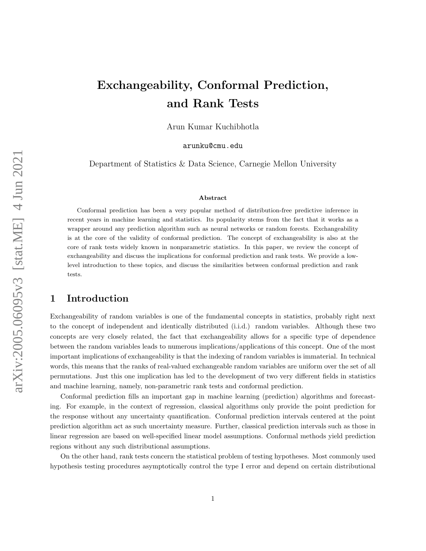# Exchangeability, Conformal Prediction, and Rank Tests

Arun Kumar Kuchibhotla

arunku@cmu.edu

Department of Statistics & Data Science, Carnegie Mellon University

#### Abstract

Conformal prediction has been a very popular method of distribution-free predictive inference in recent years in machine learning and statistics. Its popularity stems from the fact that it works as a wrapper around any prediction algorithm such as neural networks or random forests. Exchangeability is at the core of the validity of conformal prediction. The concept of exchangeability is also at the core of rank tests widely known in nonparametric statistics. In this paper, we review the concept of exchangeability and discuss the implications for conformal prediction and rank tests. We provide a lowlevel introduction to these topics, and discuss the similarities between conformal prediction and rank tests.

# 1 Introduction

Exchangeability of random variables is one of the fundamental concepts in statistics, probably right next to the concept of independent and identically distributed (i.i.d.) random variables. Although these two concepts are very closely related, the fact that exchangeability allows for a specific type of dependence between the random variables leads to numerous implications/applications of this concept. One of the most important implications of exchangeability is that the indexing of random variables is immaterial. In technical words, this means that the ranks of real-valued exchangeable random variables are uniform over the set of all permutations. Just this one implication has led to the development of two very different fields in statistics and machine learning, namely, non-parametric rank tests and conformal prediction.

Conformal prediction fills an important gap in machine learning (prediction) algorithms and forecasting. For example, in the context of regression, classical algorithms only provide the point prediction for the response without any uncertainty quantification. Conformal prediction intervals centered at the point prediction algorithm act as such uncertainty measure. Further, classical prediction intervals such as those in linear regression are based on well-specified linear model assumptions. Conformal methods yield prediction regions without any such distributional assumptions.

On the other hand, rank tests concern the statistical problem of testing hypotheses. Most commonly used hypothesis testing procedures asymptotically control the type I error and depend on certain distributional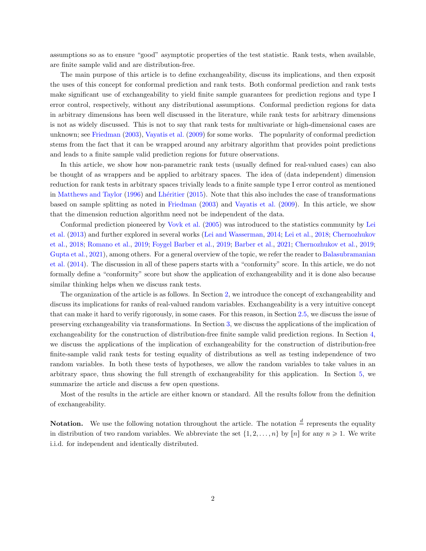assumptions so as to ensure "good" asymptotic properties of the test statistic. Rank tests, when available, are finite sample valid and are distribution-free.

The main purpose of this article is to define exchangeability, discuss its implications, and then exposit the uses of this concept for conformal prediction and rank tests. Both conformal prediction and rank tests make significant use of exchangeability to yield finite sample guarantees for prediction regions and type I error control, respectively, without any distributional assumptions. Conformal prediction regions for data in arbitrary dimensions has been well discussed in the literature, while rank tests for arbitrary dimensions is not as widely discussed. This is not to say that rank tests for multivariate or high-dimensional cases are unknown; see [Friedman](#page-29-0) [\(2003\)](#page-29-0), [Vayatis et al.](#page-32-0) [\(2009\)](#page-32-0) for some works. The popularity of conformal prediction stems from the fact that it can be wrapped around any arbitrary algorithm that provides point predictions and leads to a finite sample valid prediction regions for future observations.

In this article, we show how non-parametric rank tests (usually defined for real-valued cases) can also be thought of as wrappers and be applied to arbitrary spaces. The idea of (data independent) dimension reduction for rank tests in arbitrary spaces trivially leads to a finite sample type I error control as mentioned in [Matthews and Taylor](#page-31-0) [\(1996\)](#page-31-0) and Lhéritier [\(2015\)](#page-30-0). Note that this also includes the case of transformations based on sample splitting as noted in [Friedman](#page-29-0) [\(2003\)](#page-29-0) and [Vayatis et al.](#page-32-0) [\(2009\)](#page-32-0). In this article, we show that the dimension reduction algorithm need not be independent of the data.

Conformal prediction pioneered by [Vovk et al.](#page-32-1) [\(2005\)](#page-32-1) was introduced to the statistics community by [Lei](#page-30-1) [et al.](#page-30-1) [\(2013\)](#page-30-1) and further explored in several works [\(Lei and Wasserman,](#page-30-2) [2014;](#page-30-2) [Lei et al.,](#page-30-3) [2018;](#page-30-3) [Chernozhukov](#page-28-0) [et al.,](#page-28-0) [2018;](#page-28-0) [Romano et al.,](#page-31-1) [2019;](#page-31-1) [Foygel Barber et al.,](#page-29-1) [2019;](#page-29-1) [Barber et al.,](#page-27-0) [2021;](#page-27-0) [Chernozhukov et al.,](#page-28-1) [2019;](#page-28-1) [Gupta et al.,](#page-29-2) [2021\)](#page-29-2), among others. For a general overview of the topic, we refer the reader to [Balasubramanian](#page-27-1) [et al.](#page-27-1) [\(2014\)](#page-27-1). The discussion in all of these papers starts with a "conformity" score. In this article, we do not formally define a "conformity" score but show the application of exchangeability and it is done also because similar thinking helps when we discuss rank tests.

The organization of the article is as follows. In Section [2,](#page-2-0) we introduce the concept of exchangeability and discuss its implications for ranks of real-valued random variables. Exchangeability is a very intuitive concept that can make it hard to verify rigorously, in some cases. For this reason, in Section [2.5,](#page-5-0) we discuss the issue of preserving exchangeability via transformations. In Section [3,](#page-7-0) we discuss the applications of the implication of exchangeability for the construction of distribution-free finite sample valid prediction regions. In Section [4,](#page-20-0) we discuss the applications of the implication of exchangeability for the construction of distribution-free finite-sample valid rank tests for testing equality of distributions as well as testing independence of two random variables. In both these tests of hypotheses, we allow the random variables to take values in an arbitrary space, thus showing the full strength of exchangeability for this application. In Section [5,](#page-26-0) we summarize the article and discuss a few open questions.

Most of the results in the article are either known or standard. All the results follow from the definition of exchangeability.

**Notation.** We use the following notation throughout the article. The notation  $\frac{d}{ }$  represents the equality in distribution of two random variables. We abbreviate the set  $\{1, 2, \ldots, n\}$  by  $[n]$  for any  $n \geq 1$ . We write i.i.d. for independent and identically distributed.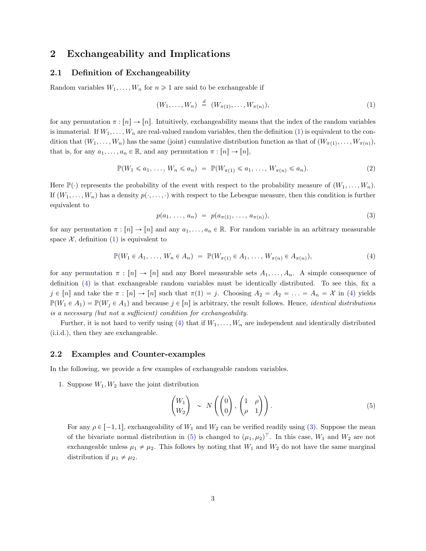# <span id="page-2-0"></span>2 Exchangeability and Implications

### 2.1 Definition of Exchangeability

Random variables  $W_1, \ldots, W_n$  for  $n \geq 1$  are said to be exchangeable if

<span id="page-2-1"></span>
$$
(W_1, \ldots, W_n) \stackrel{d}{=} (W_{\pi(1)}, \ldots, W_{\pi(n)}), \tag{1}
$$

for any permutation  $\pi : [n] \to [n]$ . Intuitively, exchangeability means that the index of the random variables is immaterial. If  $W_1, \ldots, W_n$  are real-valued random variables, then the definition [\(1\)](#page-2-1) is equivalent to the condition that  $(W_1, \ldots, W_n)$  has the same (joint) cumulative distribution function as that of  $(W_{\pi(1)}, \ldots, W_{\pi(n)})$ , that is, for any  $a_1, \ldots, a_n \in \mathbb{R}$ , and any permutation  $\pi : [n] \to [n],$ 

$$
\mathbb{P}(W_1 \leq a_1, \ldots, W_n \leq a_n) = \mathbb{P}(W_{\pi(1)} \leq a_1, \ldots, W_{\pi(n)} \leq a_n). \tag{2}
$$

Here  $\mathbb{P}(\cdot)$  represents the probability of the event with respect to the probability measure of  $(W_1, \ldots, W_n)$ . If  $(W_1, \ldots, W_n)$  has a density  $p(\cdot, \ldots, \cdot)$  with respect to the Lebesgue measure, then this condition is further equivalent to

<span id="page-2-6"></span><span id="page-2-3"></span><span id="page-2-2"></span>
$$
p(a_1, \ldots, a_n) = p(a_{\pi(1)}, \ldots, a_{\pi(n)}), \qquad (3)
$$

for any permutation  $\pi : [n] \to [n]$  and any  $a_1, \ldots, a_n \in \mathbb{R}$ . For random variable in an arbitrary measurable space  $\mathcal{X}$ , definition [\(1\)](#page-2-1) is equivalent to

$$
\mathbb{P}(W_1 \in A_1, \dots, W_n \in A_n) = \mathbb{P}(W_{\pi(1)} \in A_1, \dots, W_{\pi(n)} \in A_{\pi(n)}),
$$
\n(4)

for any permutation  $\pi : [n] \to [n]$  and any Borel measurable sets  $A_1, \ldots, A_n$ . A simple consequence of definition [\(4\)](#page-2-2) is that exchangeable random variables must be identically distributed. To see this, fix a  $j \in [n]$  and take the  $\pi : [n] \to [n]$  such that  $\pi(1) = j$ . Choosing  $A_2 = A_2 = ... = A_n = \mathcal{X}$  in [\(4\)](#page-2-2) yields  $\mathbb{P}(W_1 \in A_1) = \mathbb{P}(W_i \in A_1)$  and because  $j \in [n]$  is arbitrary, the result follows. Hence, *identical distributions* is a necessary (but not a sufficient) condition for exchangeability.

Further, it is not hard to verify using [\(4\)](#page-2-2) that if  $W_1, \ldots, W_n$  are independent and identically distributed (i.i.d.), then they are exchangeable.

#### <span id="page-2-5"></span>2.2 Examples and Counter-examples

In the following, we provide a few examples of exchangeable random variables.

1. Suppose  $W_1, W_2$  have the joint distribution

<span id="page-2-4"></span>
$$
\begin{pmatrix} W_1 \\ W_2 \end{pmatrix} \sim N \left( \begin{pmatrix} 0 \\ 0 \end{pmatrix}, \begin{pmatrix} 1 & \rho \\ \rho & 1 \end{pmatrix} \right). \tag{5}
$$

For any  $\rho \in [-1, 1]$ , exchangeability of  $W_1$  and  $W_2$  can be verified readily using [\(3\)](#page-2-3). Suppose the mean of the bivariate normal distribution in [\(5\)](#page-2-4) is changed to  $(\mu_1, \mu_2)^T$ . In this case,  $W_1$  and  $W_2$  are not exchangeable unless  $\mu_1 \neq \mu_2$ . This follows by noting that  $W_1$  and  $W_2$  do not have the same marginal distribution if  $\mu_1 \neq \mu_2$ .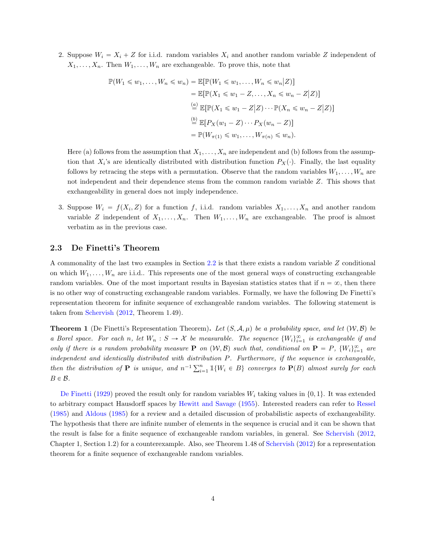2. Suppose  $W_i = X_i + Z$  for i.i.d. random variables  $X_i$  and another random variable Z independent of  $X_1, \ldots, X_n$ . Then  $W_1, \ldots, W_n$  are exchangeable. To prove this, note that

$$
\mathbb{P}(W_1 \leq w_1, \dots, W_n \leq w_n) = \mathbb{E}[\mathbb{P}(W_1 \leq w_1, \dots, W_n \leq w_n | Z)]
$$
  
\n
$$
= \mathbb{E}[\mathbb{P}(X_1 \leq w_1 - Z, \dots, X_n \leq w_n - Z | Z)]
$$
  
\n
$$
\stackrel{(a)}{=} \mathbb{E}[\mathbb{P}(X_1 \leq w_1 - Z | Z) \cdots \mathbb{P}(X_n \leq w_n - Z | Z)]
$$
  
\n
$$
\stackrel{(b)}{=} \mathbb{E}[P_X(w_1 - Z) \cdots P_X(w_n - Z)]
$$
  
\n
$$
= \mathbb{P}(W_{\pi(1)} \leq w_1, \dots, W_{\pi(n)} \leq w_n).
$$

Here (a) follows from the assumption that  $X_1, \ldots, X_n$  are independent and (b) follows from the assumption that  $X_i$ 's are identically distributed with distribution function  $P_X(\cdot)$ . Finally, the last equality follows by retracing the steps with a permutation. Observe that the random variables  $W_1, \ldots, W_n$  are not independent and their dependence stems from the common random variable Z. This shows that exchangeability in general does not imply independence.

3. Suppose  $W_i = f(X_i, Z)$  for a function f, i.i.d. random variables  $X_1, \ldots, X_n$  and another random variable Z independent of  $X_1, \ldots, X_n$ . Then  $W_1, \ldots, W_n$  are exchangeable. The proof is almost verbatim as in the previous case.

#### 2.3 De Finetti's Theorem

A commonality of the last two examples in Section [2.2](#page-2-5) is that there exists a random variable Z conditional on which  $W_1, \ldots, W_n$  are i.i.d.. This represents one of the most general ways of constructing exchangeable random variables. One of the most important results in Bayesian statistics states that if  $n = \infty$ , then there is no other way of constructing exchangeable random variables. Formally, we have the following De Finetti's representation theorem for infinite sequence of exchangeable random variables. The following statement is taken from [Schervish](#page-31-2) [\(2012,](#page-31-2) Theorem 1.49).

**Theorem 1** (De Finetti's Representation Theorem). Let  $(S, \mathcal{A}, \mu)$  be a probability space, and let  $(\mathcal{W}, \mathcal{B})$  be a Borel space. For each n, let  $W_n : S \to X$  be measurable. The sequence  $\{W_i\}_{i=1}^{\infty}$  is exchangeable if and only if there is a random probability measure **P** on  $(W, \mathcal{B})$  such that, conditional on **P** = P,  $\{W_i\}_{i=1}^{\infty}$  are independent and identically distributed with distribution P. Furthermore, if the sequence is exchangeable, then the distribution of **P** is unique, and  $n^{-1} \sum_{i=1}^{n} \mathbb{1}\{W_i \in B\}$  converges to  $\mathbf{P}(B)$  almost surely for each then the distribution of **P** is unique, and  $n^{-1} \sum_{i=1}^{n} \mathbb{1}\{W_i \in B\}$  converges to  $\mathbf{P}(B)$   $B \in \mathcal{B}$ .

[De Finetti](#page-28-2) [\(1929\)](#page-28-2) proved the result only for random variables  $W_i$  taking values in  $\{0, 1\}$ . It was extended to arbitrary compact Hausdorff spaces by [Hewitt and Savage](#page-29-3) [\(1955\)](#page-29-3). Interested readers can refer to [Ressel](#page-31-3) [\(1985\)](#page-31-3) and [Aldous](#page-27-2) [\(1985\)](#page-27-2) for a review and a detailed discussion of probabilistic aspects of exchangeability. The hypothesis that there are infinite number of elements in the sequence is crucial and it can be shown that the result is false for a finite sequence of exchangeable random variables, in general. See [Schervish](#page-31-2) [\(2012,](#page-31-2) Chapter 1, Section 1.2) for a counterexample. Also, see Theorem 1.48 of [Schervish](#page-31-2) [\(2012\)](#page-31-2) for a representation theorem for a finite sequence of exchangeable random variables.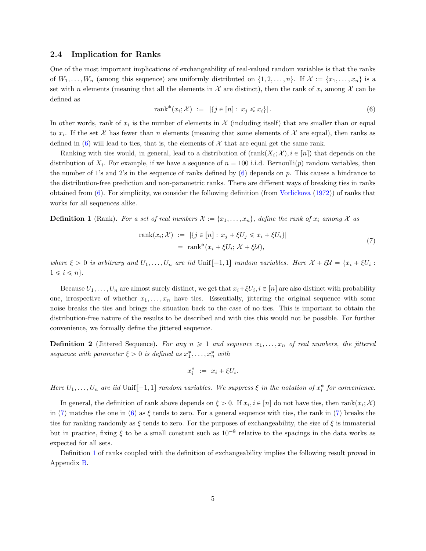#### <span id="page-4-3"></span>2.4 Implication for Ranks

One of the most important implications of exchangeability of real-valued random variables is that the ranks of  $W_1, \ldots, W_n$  (among this sequence) are uniformly distributed on  $\{1, 2, \ldots, n\}$ . If  $\mathcal{X} := \{x_1, \ldots, x_n\}$  is a set with n elements (meaning that all the elements in X are distinct), then the rank of  $x_i$  among X can be defined as

<span id="page-4-0"></span>
$$
rank^*(x_i; \mathcal{X}) := |\{ j \in [n] : x_j \leq x_i \}|.
$$
\n(6)

In other words, rank of  $x_i$  is the number of elements in  $\mathcal X$  (including itself) that are smaller than or equal to  $x_i$ . If the set X has fewer than n elements (meaning that some elements of X are equal), then ranks as defined in [\(6\)](#page-4-0) will lead to ties, that is, the elements of  $\mathcal X$  that are equal get the same rank.

Ranking with ties would, in general, lead to a distribution of  $(\text{rank}(X_i; \mathcal{X}), i \in [n])$  that depends on the distribution of  $X_i$ . For example, if we have a sequence of  $n = 100$  i.i.d. Bernoulli $(p)$  random variables, then the number of 1's and 2's in the sequence of ranks defined by  $(6)$  depends on p. This causes a hindrance to the distribution-free prediction and non-parametric ranks. There are different ways of breaking ties in ranks obtained from [\(6\)](#page-4-0). For simplicity, we consider the following definition (from [Vorlickova](#page-32-2) [\(1972\)](#page-32-2)) of ranks that works for all sequences alike.

<span id="page-4-2"></span>**Definition 1** (Rank). For a set of real numbers  $\mathcal{X} := \{x_1, \ldots, x_n\}$ , define the rank of  $x_i$  among  $\mathcal{X}$  as

$$
\text{rank}(x_i; \mathcal{X}) := |\{j \in [n] : x_j + \xi U_j \leq x_i + \xi U_i\}|
$$
  
= 
$$
\text{rank}^*(x_i + \xi U_i; \mathcal{X} + \xi \mathcal{U}),
$$
 (7)

where  $\xi > 0$  is arbitrary and  $U_1, \ldots, U_n$  are iid Unif $[-1, 1]$  random variables. Here  $\mathcal{X} + \xi \mathcal{U} = \{x_i + \xi U_i :$  $1 \leq i \leq n$ .

Because  $U_1, \ldots, U_n$  are almost surely distinct, we get that  $x_i + \xi U_i$ ,  $i \in [n]$  are also distinct with probability one, irrespective of whether  $x_1, \ldots, x_n$  have ties. Essentially, jittering the original sequence with some noise breaks the ties and brings the situation back to the case of no ties. This is important to obtain the distribution-free nature of the results to be described and with ties this would not be possible. For further convenience, we formally define the jittered sequence.

<span id="page-4-4"></span>**Definition 2** (Jittered Sequence). For any  $n \geq 1$  and sequence  $x_1, \ldots, x_n$  of real numbers, the jittered sequence with parameter  $\xi > 0$  is defined as  $x_1^*, \ldots, x_n^*$  with

<span id="page-4-1"></span>
$$
x_i^* := x_i + \xi U_i.
$$

Here  $U_1, \ldots, U_n$  are iid Unif $[-1, 1]$  random variables. We suppress  $\xi$  in the notation of  $x_i^*$  for convenience.

In general, the definition of rank above depends on  $\xi > 0$ . If  $x_i, i \in [n]$  do not have ties, then  $\text{rank}(x_i; \mathcal{X})$ in [\(7\)](#page-4-1) matches the one in [\(6\)](#page-4-0) as  $\xi$  tends to zero. For a general sequence with ties, the rank in (7) breaks the ties for ranking randomly as  $\xi$  tends to zero. For the purposes of exchangeability, the size of  $\xi$  is immaterial but in practice, fixing  $\xi$  to be a small constant such as  $10^{-8}$  relative to the spacings in the data works as expected for all sets.

Definition [1](#page-4-2) of ranks coupled with the definition of exchangeability implies the following result proved in Appendix [B.](#page-34-0)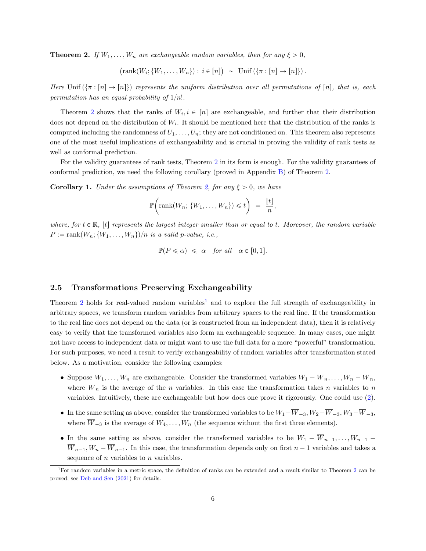<span id="page-5-1"></span>**Theorem 2.** If  $W_1, \ldots, W_n$  are exchangeable random variables, then for any  $\xi > 0$ ,

$$
(\text{rank}(W_i; \{W_1, \ldots, W_n\}) : i \in [n]) \sim \text{Unif } (\{\pi : [n] \to [n]\}).
$$

Here Unif  $(\{\pi : [n] \to [n]\})$  represents the uniform distribution over all permutations of  $[n]$ , that is, each permutation has an equal probability of  $1/n!$ .

Theorem [2](#page-5-1) shows that the ranks of  $W_i, i \in [n]$  are exchangeable, and further that their distribution does not depend on the distribution of  $W_i$ . It should be mentioned here that the distribution of the ranks is computed including the randomness of  $U_1, \ldots, U_n$ ; they are not conditioned on. This theorem also represents one of the most useful implications of exchangeability and is crucial in proving the validity of rank tests as well as conformal prediction.

For the validity guarantees of rank tests, Theorem [2](#page-5-1) in its form is enough. For the validity guarantees of conformal prediction, we need the following corollary (proved in Appendix [B\)](#page-34-0) of Theorem [2.](#page-5-1)

<span id="page-5-3"></span>**Corollary 1.** Under the assumptions of Theorem [2,](#page-5-1) for any  $\xi > 0$ , we have

$$
\mathbb{P}\bigg(\text{rank}(W_n; \{W_1, \ldots, W_n\}) \leq t\bigg) = \frac{\lfloor t \rfloor}{n},
$$

where, for  $t \in \mathbb{R}$ , |t| represents the largest integer smaller than or equal to t. Moreover, the random variable  $P := \text{rank}(W_n; \{W_1, \ldots, W_n\})/n$  is a valid p-value, i.e.,

$$
\mathbb{P}(P \leq \alpha) \leq \alpha \quad \text{for all} \quad \alpha \in [0, 1].
$$

#### <span id="page-5-0"></span>2.5 Transformations Preserving Exchangeability

Theorem [2](#page-5-1) holds for real-valued random variables<sup>[1](#page-5-2)</sup> and to explore the full strength of exchangeability in arbitrary spaces, we transform random variables from arbitrary spaces to the real line. If the transformation to the real line does not depend on the data (or is constructed from an independent data), then it is relatively easy to verify that the transformed variables also form an exchangeable sequence. In many cases, one might not have access to independent data or might want to use the full data for a more "powerful" transformation. For such purposes, we need a result to verify exchangeability of random variables after transformation stated below. As a motivation, consider the following examples:

- Suppose  $W_1, \ldots, W_n$  are exchangeable. Consider the transformed variables  $W_1 \overline{W}_n, \ldots, W_n \overline{W}_n$ , where  $\overline{W}_n$  is the average of the n variables. In this case the transformation takes n variables to n variables. Intuitively, these are exchangeable but how does one prove it rigorously. One could use [\(2\)](#page-2-6).
- In the same setting as above, consider the transformed variables to be  $W_1-\overline{W}_{-3}$ ,  $W_2-\overline{W}_{-3}$ ,  $W_3-\overline{W}_{-3}$ where  $\overline{W}_{-3}$  is the average of  $W_4, \ldots, W_n$  (the sequence without the first three elements).
- In the same setting as above, consider the transformed variables to be  $W_1 \overline{W}_{n-1}, \ldots, W_{n-1}$  $\overline{W}_{n-1}, W_n - \overline{W}_{n-1}$ . In this case, the transformation depends only on first  $n-1$  variables and takes a sequence of  $n$  variables to  $n$  variables.

<span id="page-5-2"></span><sup>1</sup>For random variables in a metric space, the definition of ranks can be extended and a result similar to Theorem [2](#page-5-1) can be proved; see [Deb and Sen](#page-28-3) [\(2021\)](#page-28-3) for details.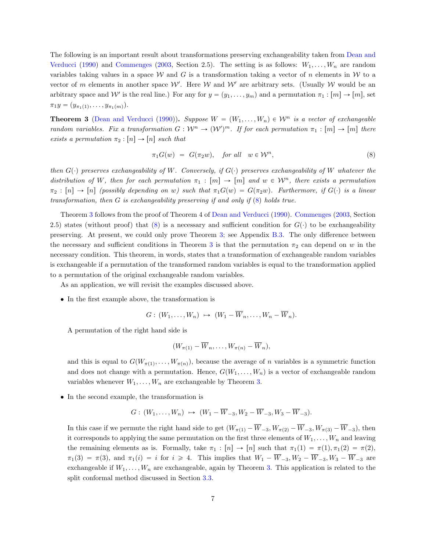The following is an important result about transformations preserving exchangeability taken from [Dean and](#page-28-4) [Verducci](#page-28-4) [\(1990\)](#page-28-4) and [Commenges](#page-28-5) [\(2003,](#page-28-5) Section 2.5). The setting is as follows:  $W_1, \ldots, W_n$  are random variables taking values in a space W and G is a transformation taking a vector of n elements in W to a vector of m elements in another space  $W'$ . Here W and W' are arbitrary sets. (Usually W would be an arbitrary space and W' is the real line.) For any for  $y = (y_1, \ldots, y_m)$  and a permutation  $\pi_1 : [m] \to [m]$ , set  $\pi_1 y = (y_{\pi_1(1)}, \ldots, y_{\pi_1(m)}).$ 

<span id="page-6-1"></span>**Theorem 3** [\(Dean and Verducci](#page-28-4) [\(1990\)](#page-28-4)). Suppose  $W = (W_1, \ldots, W_n) \in \mathcal{W}^n$  is a vector of exchangeable random variables. Fix a transformation  $G: W^n \to (W')^m$ . If for each permutation  $\pi_1 : [m] \to [m]$  there exists a permutation  $\pi_2 : [n] \to [n]$  such that

<span id="page-6-0"></span>
$$
\pi_1 G(w) = G(\pi_2 w), \quad \text{for all} \quad w \in \mathcal{W}^n,
$$
\n
$$
(8)
$$

then  $G(r)$  preserves exchangeability of W. Conversely, if  $G(r)$  preserves exchangeability of W whatever the distribution of W, then for each permutation  $\pi_1 : [m] \to [m]$  and  $w \in \mathcal{W}^n$ , there exists a permutation  $\pi_2 : [n] \to [n]$  (possibly depending on w) such that  $\pi_1 G(w) = G(\pi_2 w)$ . Furthermore, if  $G(\cdot)$  is a linear transformation, then  $G$  is exchangeability preserving if and only if  $(8)$  holds true.

Theorem [3](#page-6-1) follows from the proof of Theorem 4 of [Dean and Verducci](#page-28-4) [\(1990\)](#page-28-4). [Commenges](#page-28-5) [\(2003,](#page-28-5) Section 2.5) states (without proof) that [\(8\)](#page-6-0) is a necessary and sufficient condition for  $G(·)$  to be exchangeability preserving. At present, we could only prove Theorem [3;](#page-6-1) see Appendix [B.3.](#page-35-0) The only difference between the necessary and sufficient conditions in Theorem [3](#page-6-1) is that the permutation  $\pi_2$  can depend on w in the necessary condition. This theorem, in words, states that a transformation of exchangeable random variables is exchangeable if a permutation of the transformed random variables is equal to the transformation applied to a permutation of the original exchangeable random variables.

As an application, we will revisit the examples discussed above.

• In the first example above, the transformation is

$$
G: (W_1, \ldots, W_n) \mapsto (W_1 - \overline{W}_n, \ldots, W_n - \overline{W}_n).
$$

A permutation of the right hand side is

$$
(W_{\pi(1)} - \overline{W}_n, \ldots, W_{\pi(n)} - \overline{W}_n),
$$

and this is equal to  $G(W_{\pi(1)},...,W_{\pi(n)})$ , because the average of n variables is a symmetric function and does not change with a permutation. Hence,  $G(W_1, \ldots, W_n)$  is a vector of exchangeable random variables whenever  $W_1, \ldots, W_n$  are exchangeable by Theorem [3.](#page-6-1)

• In the second example, the transformation is

$$
G: (W_1, \ldots, W_n) \mapsto (W_1 - \overline{W}_{-3}, W_2 - \overline{W}_{-3}, W_3 - \overline{W}_{-3}).
$$

In this case if we permute the right hand side to get  $(W_{\pi(1)} - \overline{W}_{-3}, W_{\pi(2)} - \overline{W}_{-3}, W_{\pi(3)} - \overline{W}_{-3})$ , then it corresponds to applying the same permutation on the first three elements of  $W_1, \ldots, W_n$  and leaving the remaining elements as is. Formally, take  $\pi_1 : [n] \to [n]$  such that  $\pi_1(1) = \pi(1), \pi_1(2) = \pi(2)$ ,  $\pi_1(3) = \pi(3)$ , and  $\pi_1(i) = i$  for  $i \ge 4$ . This implies that  $W_1 - \overline{W}_{-3}$ ,  $W_2 - \overline{W}_{-3}$ ,  $W_3 - \overline{W}_{-3}$  are exchangeable if  $W_1, \ldots, W_n$  are exchangeable, again by Theorem [3.](#page-6-1) This application is related to the split conformal method discussed in Section [3.3.](#page-11-0)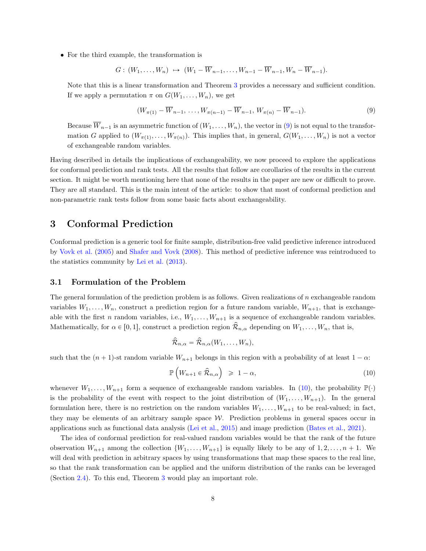• For the third example, the transformation is

$$
G: (W_1, \ldots, W_n) \rightarrow (W_1 - \overline{W}_{n-1}, \ldots, W_{n-1} - \overline{W}_{n-1}, W_n - \overline{W}_{n-1}).
$$

Note that this is a linear transformation and Theorem [3](#page-6-1) provides a necessary and sufficient condition. If we apply a permutation  $\pi$  on  $G(W_1, \ldots, W_n)$ , we get

<span id="page-7-1"></span>
$$
(W_{\pi(1)} - \overline{W}_{n-1}, \dots, W_{\pi(n-1)} - \overline{W}_{n-1}, W_{\pi(n)} - \overline{W}_{n-1}).
$$
\n(9)

Because  $\overline{W}_{n-1}$  is an asymmetric function of  $(W_1, \ldots, W_n)$ , the vector in [\(9\)](#page-7-1) is not equal to the transformation G applied to  $(W_{\pi(1)}, \ldots, W_{\pi(n)})$ . This implies that, in general,  $G(W_1, \ldots, W_n)$  is not a vector of exchangeable random variables.

Having described in details the implications of exchangeability, we now proceed to explore the applications for conformal prediction and rank tests. All the results that follow are corollaries of the results in the current section. It might be worth mentioning here that none of the results in the paper are new or difficult to prove. They are all standard. This is the main intent of the article: to show that most of conformal prediction and non-parametric rank tests follow from some basic facts about exchangeability.

# <span id="page-7-0"></span>3 Conformal Prediction

Conformal prediction is a generic tool for finite sample, distribution-free valid predictive inference introduced by [Vovk et al.](#page-32-1) [\(2005\)](#page-32-1) and [Shafer and Vovk](#page-31-4) [\(2008\)](#page-31-4). This method of predictive inference was reintroduced to the statistics community by [Lei et al.](#page-30-1) [\(2013\)](#page-30-1).

#### 3.1 Formulation of the Problem

The general formulation of the prediction problem is as follows. Given realizations of  $n$  exchangeable random variables  $W_1, \ldots, W_n$ , construct a prediction region for a future random variable,  $W_{n+1}$ , that is exchangeable with the first n random variables, i.e.,  $W_1, \ldots, W_{n+1}$  is a sequence of exchangeable random variables. Mathematically, for  $\alpha \in [0, 1]$ , construct a prediction region  $\mathcal{R}_{n,\alpha}$  depending on  $W_1, \ldots, W_n$ , that is,

<span id="page-7-2"></span>
$$
\widehat{\mathcal{R}}_{n,\alpha} = \widehat{\mathcal{R}}_{n,\alpha}(W_1,\ldots,W_n),
$$

such that the  $(n + 1)$ -st random variable  $W_{n+1}$  belongs in this region with a probability of at least  $1 - \alpha$ :

$$
\mathbb{P}\left(W_{n+1} \in \hat{\mathcal{R}}_{n,\alpha}\right) \geq 1 - \alpha,\tag{10}
$$

whenever  $W_1, \ldots, W_{n+1}$  form a sequence of exchangeable random variables. In [\(10\)](#page-7-2), the probability  $\mathbb{P}(\cdot)$ is the probability of the event with respect to the joint distribution of  $(W_1, \ldots, W_{n+1})$ . In the general formulation here, there is no restriction on the random variables  $W_1, \ldots, W_{n+1}$  to be real-valued; in fact, they may be elements of an arbitrary sample space  $W$ . Prediction problems in general spaces occur in applications such as functional data analysis [\(Lei et al.,](#page-30-4) [2015\)](#page-30-4) and image prediction [\(Bates et al.,](#page-28-6) [2021\)](#page-28-6).

The idea of conformal prediction for real-valued random variables would be that the rank of the future observation  $W_{n+1}$  among the collection  $\{W_1, \ldots, W_{n+1}\}$  is equally likely to be any of  $1, 2, \ldots, n + 1$ . We will deal with prediction in arbitrary spaces by using transformations that map these spaces to the real line, so that the rank transformation can be applied and the uniform distribution of the ranks can be leveraged (Section [2.4\)](#page-4-3). To this end, Theorem [3](#page-6-1) would play an important role.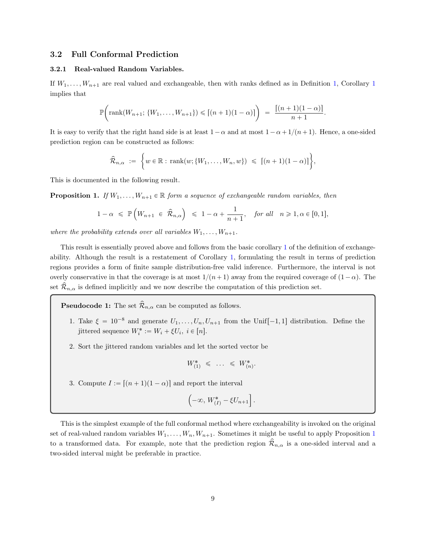## 3.2 Full Conformal Prediction

#### 3.2.1 Real-valued Random Variables.

If  $W_1, \ldots, W_{n+1}$  $W_1, \ldots, W_{n+1}$  $W_1, \ldots, W_{n+1}$  $W_1, \ldots, W_{n+1}$  $W_1, \ldots, W_{n+1}$  are real valued and exchangeable, then with ranks defined as in Definition 1, Corollary 1 implies that

$$
\mathbb{P}\bigg(\text{rank}(W_{n+1}; \{W_1, \ldots, W_{n+1}\}) \leqslant \left[(n+1)(1-\alpha)\right] \bigg) = \frac{\left[(n+1)(1-\alpha)\right]}{n+1}.
$$

It is easy to verify that the right hand side is at least  $1 - \alpha$  and at most  $1 - \alpha + 1/(n+1)$ . Hence, a one-sided prediction region can be constructed as follows:

$$
\widehat{\mathcal{R}}_{n,\alpha} := \left\{ w \in \mathbb{R} : \operatorname{rank}(w; \{W_1, \ldots, W_n, w\}) \leqslant \left[ (n+1)(1-\alpha) \right] \right\},\
$$

This is documented in the following result.

<span id="page-8-0"></span>**Proposition 1.** If  $W_1, \ldots, W_{n+1} \in \mathbb{R}$  form a sequence of exchangeable random variables, then

$$
1 - \alpha \leqslant \mathbb{P}\left(W_{n+1} \in \hat{\mathcal{R}}_{n,\alpha}\right) \leqslant 1 - \alpha + \frac{1}{n+1}, \quad \text{for all} \quad n \geqslant 1, \alpha \in [0,1],
$$

where the probability extends over all variables  $W_1, \ldots, W_{n+1}$ .

This result is essentially proved above and follows from the basic corollary [1](#page-5-3) of the definition of exchangeability. Although the result is a restatement of Corollary [1,](#page-5-3) formulating the result in terms of prediction regions provides a form of finite sample distribution-free valid inference. Furthermore, the interval is not overly conservative in that the coverage is at most  $1/(n+1)$  away from the required coverage of  $(1-\alpha)$ . The set  $\mathcal{R}_{n,\alpha}$  is defined implicitly and we now describe the computation of this prediction set.

**Pseudocode 1:** The set  $\widehat{\mathcal{R}}_{n,\alpha}$  can be computed as follows.

- 1. Take  $\xi = 10^{-8}$  and generate  $U_1, \ldots, U_n, U_{n+1}$  from the Unif $[-1, 1]$  distribution. Define the jittered sequence  $W_i^* := W_i + \xi U_i, i \in [n]$ .
- 2. Sort the jittered random variables and let the sorted vector be

$$
W_{(1)}^* \leq \ldots \leq W_{(n)}^*.
$$

3. Compute  $I := [(n + 1)(1 - \alpha)]$  and report the interval

$$
\left(-\infty, W^*_{(I)} - \xi U_{n+1}\right].
$$

This is the simplest example of the full conformal method where exchangeability is invoked on the original set of real-valued random variables  $W_1, \ldots, W_n, W_{n+1}$  $W_1, \ldots, W_n, W_{n+1}$  $W_1, \ldots, W_n, W_{n+1}$ . Sometimes it might be useful to apply Proposition 1 to a transformed data. For example, note that the prediction region  $\hat{\mathcal{R}}_{n,\alpha}$  is a one-sided interval and a two-sided interval might be preferable in practice.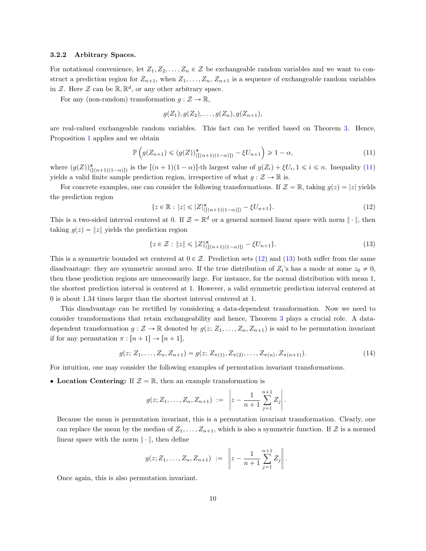#### 3.2.2 Arbitrary Spaces.

For notational convenience, let  $Z_1, Z_2, \ldots, Z_n \in \mathcal{Z}$  be exchangeable random variables and we want to construct a prediction region for  $Z_{n+1}$ , when  $Z_1, \ldots, Z_n, Z_{n+1}$  is a sequence of exchangeable random variables in Z. Here Z can be  $\mathbb{R}, \mathbb{R}^d$ , or any other arbitrary space.

For any (non-random) transformation  $g : \mathcal{Z} \to \mathbb{R}$ ,

<span id="page-9-0"></span>
$$
g(Z_1), g(Z_2), \ldots, g(Z_n), g(Z_{n+1}),
$$

are real-valued exchangeable random variables. This fact can be verified based on Theorem [3.](#page-6-1) Hence, Proposition [1](#page-8-0) applies and we obtain

$$
\mathbb{P}\left(g(Z_{n+1})\leqslant(g(Z))_{(|(n+1)(1-\alpha)|)}^{*}-\xi U_{n+1}\right)\geqslant 1-\alpha,
$$
\n(11)

where  $(g(Z))_{(\lceil (n+1)(1-\alpha) \rceil)}^*$  is the  $\lceil (n+1)(1-\alpha) \rceil$ -th largest value of  $g(Z_i) + \xi U_i$ ,  $1 \leq i \leq n$ . Inequality [\(11\)](#page-9-0) yields a valid finite sample prediction region, irrespective of what  $g : \mathcal{Z} \to \mathbb{R}$  is.

For concrete examples, one can consider the following transformations. If  $\mathcal{Z} = \mathbb{R}$ , taking  $g(z) = |z|$  yields the prediction region

<span id="page-9-1"></span>
$$
\{z \in \mathbb{R} : |z| \leq |Z|_{([n+1)(1-\alpha)]}^* - \xi U_{n+1}\}.
$$
\n(12)

This is a two-sided interval centered at 0. If  $\mathcal{Z} = \mathbb{R}^d$  or a general normed linear space with norm  $\|\cdot\|$ , then taking  $g(z) = |z|$  yields the prediction region

<span id="page-9-2"></span>
$$
\{z \in \mathcal{Z} : \|z\| \le \|Z\|_{([n+1)(1-\alpha)]}^* - \xi U_{n+1}\}.
$$
\n(13)

This is a symmetric bounded set centered at  $0 \in \mathcal{Z}$ . Prediction sets [\(12\)](#page-9-1) and [\(13\)](#page-9-2) both suffer from the same disadvantage: they are symmetric around zero. If the true distribution of  $Z_i$ 's has a mode at some  $z_0 \neq 0$ , then these prediction regions are unnecessarily large. For instance, for the normal distribution with mean 1, the shortest prediction interval is centered at 1. However, a valid symmetric prediction interval centered at 0 is about 1.34 times larger than the shortest interval centered at 1.

This disadvantage can be rectified by considering a data-dependent transformation. Now we need to consider transformations that retain exchangeability and hence, Theorem [3](#page-6-1) plays a crucial role. A datadependent transformation  $g: \mathcal{Z} \to \mathbb{R}$  denoted by  $g(z; Z_1, \ldots, Z_n, Z_{n+1})$  is said to be permutation invariant if for any permutation  $\pi : [n + 1] \rightarrow [n + 1],$ 

$$
g(z; Z_1, \ldots, Z_n, Z_{n+1}) = g(z; Z_{\pi(1)}, Z_{\pi(2)}, \ldots, Z_{\pi(n)}, Z_{\pi(n+1)}).
$$
\n(14)

For intuition, one may consider the following examples of permutation invariant transformations.

• Location Centering: If  $\mathcal{Z} = \mathbb{R}$ , then an example transformation is

<span id="page-9-3"></span>
$$
g(z; Z_1, \ldots, Z_n, Z_{n+1}) := \left| z - \frac{1}{n+1} \sum_{j=1}^{n+1} Z_j \right|.
$$

Because the mean is permutation invariant, this is a permutation invariant transformation. Clearly, one can replace the mean by the median of  $Z_1, \ldots, Z_{n+1}$ , which is also a symmetric function. If Z is a normed linear space with the norm  $\|\cdot\|$ , then define

$$
g(z; Z_1, \ldots, Z_n, Z_{n+1}) := \left\| z - \frac{1}{n+1} \sum_{j=1}^{n+1} Z_j \right\|.
$$

Once again, this is also permutation invariant.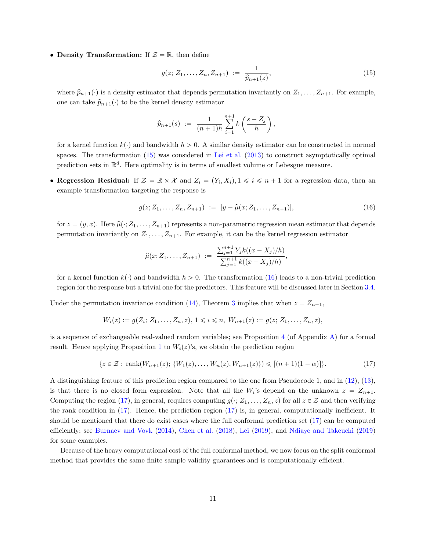• Density Transformation: If  $\mathcal{Z} = \mathbb{R}$ , then define

<span id="page-10-0"></span>
$$
g(z; Z_1, \dots, Z_n, Z_{n+1}) := \frac{1}{\hat{p}_{n+1}(z)},
$$
\n(15)

where  $\hat{p}_{n+1}(\cdot)$  is a density estimator that depends permutation invariantly on  $Z_1, \ldots, Z_{n+1}$ . For example, one can take  $\hat{p}_{n+1}(\cdot)$  to be the kernel density estimator

$$
\hat{p}_{n+1}(s) := \frac{1}{(n+1)h} \sum_{i=1}^{n+1} k\left(\frac{s-Z_j}{h}\right),\,
$$

for a kernel function  $k(\cdot)$  and bandwidth  $h > 0$ . A similar density estimator can be constructed in normed spaces. The transformation [\(15\)](#page-10-0) was considered in [Lei et al.](#page-30-1) [\(2013\)](#page-30-1) to construct asymptotically optimal prediction sets in  $\mathbb{R}^d$ . Here optimality is in terms of smallest volume or Lebesgue measure.

• Regression Residual: If  $\mathcal{Z} = \mathbb{R} \times \mathcal{X}$  and  $Z_i = (Y_i, X_i), 1 \leq i \leq n+1$  for a regression data, then an example transformation targeting the response is

$$
g(z; Z_1, \ldots, Z_n, Z_{n+1}) := |y - \hat{\mu}(x; Z_1, \ldots, Z_{n+1})|,
$$
\n(16)

for  $z = (y, x)$ . Here  $\hat{\mu}(\cdot; Z_1, \ldots, Z_{n+1})$  represents a non-parametric regression mean estimator that depends permutation invariantly on  $Z_1, \ldots, Z_{n+1}$ . For example, it can be the kernel regression estimator

<span id="page-10-2"></span><span id="page-10-1"></span>
$$
\widehat{\mu}(x; Z_1, \ldots, Z_{n+1}) := \frac{\sum_{j=1}^{n+1} Y_j k((x - X_j)/h)}{\sum_{j=1}^{n+1} k((x - X_j)/h)},
$$

for a kernel function  $k(\cdot)$  and bandwidth  $h > 0$ . The transformation [\(16\)](#page-10-1) leads to a non-trivial prediction region for the response but a trivial one for the predictors. This feature will be discussed later in Section [3.4.](#page-14-0)

Under the permutation invariance condition [\(14\)](#page-9-3), Theorem [3](#page-6-1) implies that when  $z = Z_{n+1}$ ,

$$
W_i(z) := g(Z_i; Z_1, \ldots, Z_n, z), \ 1 \leq i \leq n, \ W_{n+1}(z) := g(z; Z_1, \ldots, Z_n, z),
$$

is a sequence of exchangeable real-valued random variables; see Proposition [4](#page-33-0) (of Appendix [A\)](#page-33-1) for a formal result. Hence applying Proposition [1](#page-8-0) to  $W_i(z)$ 's, we obtain the prediction region

$$
\{z \in \mathcal{Z} : \text{rank}(W_{n+1}(z); \{W_1(z), \dots, W_n(z), W_{n+1}(z)\}) \leq \left[ (n+1)(1-\alpha) \right] \}.
$$
 (17)

A distinguishing feature of this prediction region compared to the one from Pseudocode 1, and in [\(12\)](#page-9-1), [\(13\)](#page-9-2), is that there is no closed form expression. Note that all the  $W_i$ 's depend on the unknown  $z = Z_{n+1}$ . Computing the region [\(17\)](#page-10-2), in general, requires computing  $g(\cdot; Z_1, \ldots, Z_n, z)$  for all  $z \in \mathcal{Z}$  and then verifying the rank condition in [\(17\)](#page-10-2). Hence, the prediction region [\(17\)](#page-10-2) is, in general, computationally inefficient. It should be mentioned that there do exist cases where the full conformal prediction set [\(17\)](#page-10-2) can be computed efficiently; see [Burnaev and Vovk](#page-28-7) [\(2014\)](#page-28-7), [Chen et al.](#page-28-8) [\(2018\)](#page-28-8), [Lei](#page-30-5) [\(2019\)](#page-30-5), and [Ndiaye and Takeuchi](#page-31-5) [\(2019\)](#page-31-5) for some examples.

Because of the heavy computational cost of the full conformal method, we now focus on the split conformal method that provides the same finite sample validity guarantees and is computationally efficient.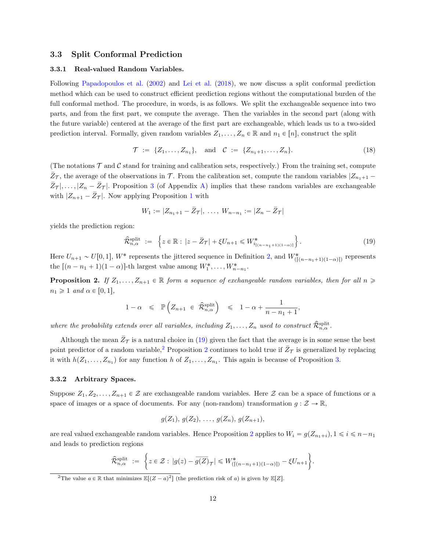#### <span id="page-11-0"></span>3.3 Split Conformal Prediction

#### 3.3.1 Real-valued Random Variables.

Following [Papadopoulos et al.](#page-31-6) [\(2002\)](#page-31-6) and [Lei et al.](#page-30-3) [\(2018\)](#page-30-3), we now discuss a split conformal prediction method which can be used to construct efficient prediction regions without the computational burden of the full conformal method. The procedure, in words, is as follows. We split the exchangeable sequence into two parts, and from the first part, we compute the average. Then the variables in the second part (along with the future variable) centered at the average of the first part are exchangeable, which leads us to a two-sided prediction interval. Formally, given random variables  $Z_1, \ldots, Z_n \in \mathbb{R}$  and  $n_1 \in [n]$ , construct the split

<span id="page-11-4"></span>
$$
\mathcal{T} := \{Z_1, \dots, Z_{n_1}\}, \quad \text{and} \quad \mathcal{C} := \{Z_{n_1+1}, \dots, Z_n\}.
$$
 (18)

(The notations  $\mathcal T$  and  $\mathcal C$  stand for training and calibration sets, respectively.) From the training set, compute  $\bar{Z}_{\mathcal{T}}$ , the average of the observations in T. From the calibration set, compute the random variables  $|Z_{n+1} - Z_{n+1}|$  $\bar{Z}_{\mathcal{T}} |, \ldots, |Z_n - \bar{Z}_{\mathcal{T}}|$ . Proposition [3](#page-33-2) (of Appendix [A\)](#page-33-1) implies that these random variables are exchangeable with  $|Z_{n+1} - \overline{Z}_{\mathcal{T}}|$  $|Z_{n+1} - \overline{Z}_{\mathcal{T}}|$  $|Z_{n+1} - \overline{Z}_{\mathcal{T}}|$ . Now applying Proposition 1 with

<span id="page-11-1"></span>
$$
W_1 := |Z_{n_1+1} - \bar{Z}_{\mathcal{T}}|, \ldots, W_{n-n_1} := |Z_n - \bar{Z}_{\mathcal{T}}|
$$

yields the prediction region:

$$
\hat{\mathcal{R}}_{n,\alpha}^{\text{split}} := \left\{ z \in \mathbb{R} : |z - \bar{Z}_{\mathcal{T}}| + \xi U_{n+1} \leqslant W_{i_{[(n-n_1+1)(1-\alpha)]}}^* \right\}.
$$
\n(19)

Here  $U_{n+1} \sim U[0, 1], W^*$  represents the jittered sequence in Definition [2,](#page-4-4) and  $W^*_{(\lceil (n-n_1+1)(1-\alpha) \rceil)}$  represents the  $[(n - n_1 + 1)(1 - \alpha)]$ -th largest value among  $W_1^*, \ldots, W_{n-n_1}^*$ .

<span id="page-11-3"></span>**Proposition 2.** If  $Z_1, \ldots, Z_{n+1} \in \mathbb{R}$  form a sequence of exchangeable random variables, then for all  $n \geq$  $n_1 \geq 1$  and  $\alpha \in [0, 1],$ 

$$
1 - \alpha \leqslant \mathbb{P}\left( Z_{n+1} \in \hat{\mathcal{R}}_{n,\alpha}^{\text{split}} \right) \leqslant 1 - \alpha + \frac{1}{n - n_1 + 1},
$$

where the probability extends over all variables, including  $Z_1, \ldots, Z_n$  used to construct  $\widehat{\mathcal{R}}_{n,\alpha}^{\text{split}}$ .

Although the mean  $\bar{Z}_{\mathcal{T}}$  is a natural choice in [\(19\)](#page-11-1) given the fact that the average is in some sense the best point predictor of a random variable,<sup>[2](#page-11-3)</sup> Proposition 2 continues to hold true if  $\bar{Z}_{\mathcal{T}}$  is generalized by replacing it with  $h(Z_1, \ldots, Z_{n_1})$  for any function h of  $Z_1, \ldots, Z_{n_1}$ . This again is because of Proposition [3.](#page-33-2)

### 3.3.2 Arbitrary Spaces.

Suppose  $Z_1, Z_2, \ldots, Z_{n+1} \in \mathcal{Z}$  are exchangeable random variables. Here  $\mathcal{Z}$  can be a space of functions or a space of images or a space of documents. For any (non-random) transformation  $g : \mathcal{Z} \to \mathbb{R}$ ,

$$
g(Z_1), g(Z_2), \ldots, g(Z_n), g(Z_{n+1}),
$$

are real valued exchangeable random variables. Hence Proposition [2](#page-11-3) applies to  $W_i = g(Z_{n_1+i}), 1 \le i \le n-n_1$ and leads to prediction regions "

$$
\widehat{\mathcal{R}}_{n,\alpha}^{\text{split}} := \left\{ z \in \mathcal{Z} : |g(z) - \overline{g(Z)}_{\mathcal{T}}| \leq W_{(\lceil (n-n_1+1)(1-\alpha) \rceil)}^* - \xi U_{n+1} \right\}.
$$

<span id="page-11-2"></span><sup>&</sup>lt;sup>2</sup>The value  $a \in \mathbb{R}$  that minimizes  $\mathbb{E}[(Z-a)^2]$  (the prediction risk of a) is given by  $\mathbb{E}[Z]$ .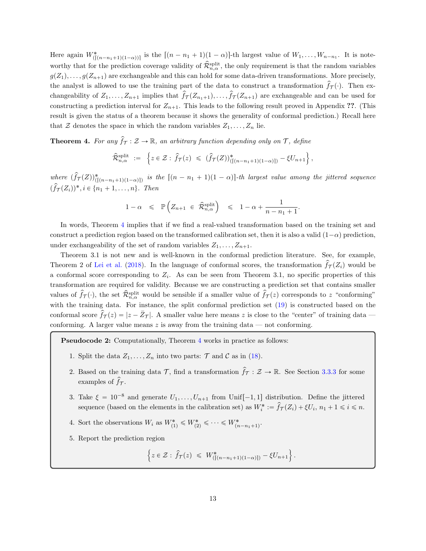Here again  $W^*_{(\lceil (n-n_1+1)(1-\alpha)\rceil)}$  is the  $\lceil (n-n_1+1)(1-\alpha) \rceil$ -th largest value of  $W_1, \ldots, W_{n-n_1}$ . It is noteworthy that for the prediction coverage validity of  $\hat{\mathcal{R}}_{n,\alpha}^{\text{split}}$ , the only requirement is that the random variables  $g(Z_1), \ldots, g(Z_{n+1})$  are exchangeable and this can hold for some data-driven transformations. More precisely, the analyst is allowed to use the training part of the data to construct a transformation  $f_{\mathcal{T}}(\cdot)$ . Then exchangeability of  $Z_1, \ldots, Z_{n+1}$  implies that  $\hat{f}_{\mathcal{T}}(Z_{n+1}), \ldots, \hat{f}_{\mathcal{T}}(Z_{n+1})$  are exchangeable and can be used for constructing a prediction interval for  $Z_{n+1}$ . This leads to the following result proved in Appendix ??. (This result is given the status of a theorem because it shows the generality of conformal prediction.) Recall here that  $\mathcal Z$  denotes the space in which the random variables  $Z_1, \ldots, Z_n$  lie.

<span id="page-12-0"></span>**Theorem 4.** For any  $\hat{f}_{\tau}: \mathcal{Z} \to \mathbb{R}$ , an arbitrary function depending only on  $\tau$ , define

$$
\widehat{\mathcal{R}}_{n,\alpha}^{\text{split}} := \left\{ z \in \mathcal{Z} : \widehat{f}_{\mathcal{T}}(z) \leq (\widehat{f}_{\mathcal{T}}(Z))_{(|(n-n_1+1)(1-\alpha)|)}^* - \xi U_{n+1} \right\},\
$$

where  $(\hat{f}_{\mathcal{T}}(Z))_{(\lceil (n-n_1+1)(1-\alpha) \rceil)}^*$  is the  $\lceil (n-n_1+1)(1-\alpha) \rceil$ -th largest value among the jittered sequence  $(\hat{f}_{\mathcal{T}}(Z_i))^*, i \in \{n_1 + 1, \ldots, n\}.$  Then

$$
1 - \alpha \leq \mathbb{P}\left(Z_{n+1} \in \hat{\mathcal{R}}_{n,\alpha}^{\text{split}}\right) \leq 1 - \alpha + \frac{1}{n - n_1 + 1}
$$

.

In words, Theorem [4](#page-12-0) implies that if we find a real-valued transformation based on the training set and construct a prediction region based on the transformed calibration set, then it is also a valid  $(1-\alpha)$  prediction, under exchangeability of the set of random variables  $Z_1, \ldots, Z_{n+1}$ .

Theorem 3.1 is not new and is well-known in the conformal prediction literature. See, for example, Theorem 2 of [Lei et al.](#page-30-3) [\(2018\)](#page-30-3). In the language of conformal scores, the transformation  $f_{\mathcal{T}}(Z_i)$  would be a conformal score corresponding to  $Z_i$ . As can be seen from Theorem 3.1, no specific properties of this transformation are required for validity. Because we are constructing a prediction set that contains smaller values of  $\hat{f}_{\mathcal{T}}(\cdot)$ , the set  $\hat{\mathcal{R}}_{n,\alpha}^{\text{split}}$  would be sensible if a smaller value of  $\hat{f}_{\mathcal{T}}(z)$  corresponds to z "conforming" with the training data. For instance, the split conformal prediction set  $(19)$  is constructed based on the conformal score  $f_{\mathcal{T}}(z) = |z - \bar{Z}_{\mathcal{T}}|$ . A smaller value here means z is close to the "center" of training data conforming. A larger value means  $z$  is away from the training data — not conforming.

Pseudocode 2: Computationally, Theorem [4](#page-12-0) works in practice as follows:

- 1. Split the data  $Z_1, \ldots, Z_n$  into two parts:  $\mathcal T$  and  $\mathcal C$  as in [\(18\)](#page-11-4).
- 2. Based on the training data  $\mathcal{T}$ , find a transformation  $\hat{f}_{\mathcal{T}} : \mathcal{Z} \to \mathbb{R}$ . See Section [3.3.3](#page-13-0) for some examples of  $\hat{f}_{\tau}$ .
- 3. Take  $\xi = 10^{-8}$  and generate  $U_1, \ldots, U_{n+1}$  from Unif $[-1, 1]$  distribution. Define the jittered sequence (based on the elements in the calibration set) as  $W_i^* := \hat{f}_T(Z_i) + \xi U_i$ ,  $n_1 + 1 \leq i \leq n$ .
- 4. Sort the observations  $W_i$  as  $W^*_{(1)} \leq W^*_{(2)} \leq \cdots \leq W^*_{(n-n_1+1)}$ .
- 5. Report the prediction region

$$
\left\{ z \in \mathcal{Z} : \hat{f}_{\mathcal{T}}(z) \leq W_{(\lceil (n-n_1+1)(1-\alpha) \rceil)}^* - \xi U_{n+1} \right\}.
$$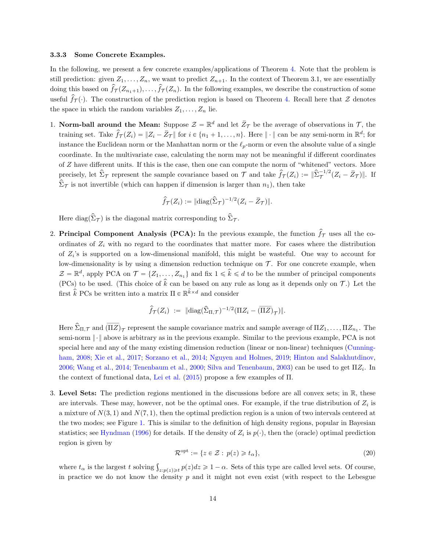#### <span id="page-13-0"></span>3.3.3 Some Concrete Examples.

In the following, we present a few concrete examples/applications of Theorem [4.](#page-12-0) Note that the problem is still prediction: given  $Z_1, \ldots, Z_n$ , we want to predict  $Z_{n+1}$ . In the context of Theorem 3.1, we are essentially doing this based on  $\widehat{f}_{\mathcal{T}}(Z_{n_1+1}), \ldots, \widehat{f}_{\mathcal{T}}(Z_n)$ . In the following examples, we describe the construction of some useful  $\hat{f}_{\mathcal{T}}(\cdot)$ . The construction of the prediction region is based on Theorem [4.](#page-12-0) Recall here that  $\mathcal Z$  denotes the space in which the random variables  $Z_1, \ldots, Z_n$  lie.

1. Norm-ball around the Mean: Suppose  $\mathcal{Z} = \mathbb{R}^d$  and let  $\bar{Z}_{\mathcal{T}}$  be the average of observations in  $\mathcal{T}$ , the training set. Take  $\hat{f}_{\mathcal{T}}(Z_i) = ||Z_i - \bar{Z}_{\mathcal{T}}||$  for  $i \in \{n_1 + 1, \ldots, n\}$ . Here  $||\cdot||$  can be any semi-norm in  $\mathbb{R}^d$ ; for instance the Euclidean norm or the Manhattan norm or the  $\ell_p$ -norm or even the absolute value of a single coordinate. In the multivariate case, calculating the norm may not be meaningful if different coordinates of Z have different units. If this is the case, then one can compute the norm of "whitened" vectors. More precisely, let  $\hat{\Sigma}_{\mathcal{T}}$  represent the sample covariance based on  $\overline{\mathcal{T}}$  and take  $\hat{f}_{\mathcal{T}}(Z_i) := \|\hat{\Sigma}_{\mathcal{T}}^{-1/2}(Z_i - \overline{Z}_{\mathcal{T}})\|$ . If  $\hat{\Sigma}_{\mathcal{T}}$  is not invertible (which can happen if dimension is larger than  $n_1$ ), then take

$$
\widehat{f}_{\mathcal{T}}(Z_i) := ||\mathrm{diag}(\widehat{\Sigma}_{\mathcal{T}})^{-1/2}(Z_i - \bar{Z}_{\mathcal{T}})||.
$$

Here diag $(\hat{\Sigma}_{\mathcal{T}})$  is the diagonal matrix corresponding to  $\hat{\Sigma}_{\mathcal{T}}$ .

2. Principal Component Analysis (PCA): In the previous example, the function  $\hat{f}_{\mathcal{T}}$  uses all the coordinates of  $Z_i$  with no regard to the coordinates that matter more. For cases where the distribution of  $Z_i$ 's is supported on a low-dimensional manifold, this might be wasteful. One way to account for low-dimensionality is by using a dimension reduction technique on  $\mathcal T$ . For one concrete example, when  $\mathcal{Z} = \mathbb{R}^d$ , apply PCA on  $\mathcal{T} = \{Z_1, \ldots, Z_{n_1}\}\$ and fix  $1 \leq \hat{k} \leq d$  to be the number of principal components (PCs) to be used. (This choice of  $\hat{k}$  can be based on any rule as long as it depends only on  $\mathcal{T}$ .) Let the first  $\hat{k}$  PCs be written into a matrix  $\Pi \in \mathbb{R}^{\hat{k} \times d}$  and consider

$$
\widehat{f}_{\mathcal{T}}(Z_i) \ := \ \|\text{diag}(\widehat{\Sigma}_{\Pi,\mathcal{T}})^{-1/2}(\Pi Z_i - \overline{(\Pi Z)}_{\mathcal{T}})\|.
$$

Here  $\hat{\Sigma}_{\Pi,\mathcal{T}}$  and  $(\overline{\Pi Z})_{\mathcal{T}}$  represent the sample covariance matrix and sample average of  $\Pi Z_1,\ldots,\Pi Z_{n_1}$ . The semi-norm  $\|\cdot\|$  above is arbitrary as in the previous example. Similar to the previous example, PCA is not special here and any of the many existing dimension reduction (linear or non-linear) techniques [\(Cunning](#page-28-9)[ham,](#page-28-9) [2008;](#page-28-9) [Xie et al.,](#page-32-3) [2017;](#page-32-3) [Sorzano et al.,](#page-31-7) [2014;](#page-31-7) [Nguyen and Holmes,](#page-31-8) [2019;](#page-31-8) [Hinton and Salakhutdinov,](#page-29-4) [2006;](#page-29-4) [Wang et al.,](#page-32-4) [2014;](#page-32-4) [Tenenbaum et al.,](#page-31-9) [2000;](#page-31-9) [Silva and Tenenbaum,](#page-31-10) [2003\)](#page-31-10) can be used to get  $\Pi Z_i$ . In the context of functional data, [Lei et al.](#page-30-4) [\(2015\)](#page-30-4) propose a few examples of Π.

3. Level Sets: The prediction regions mentioned in the discussions before are all convex sets; in  $\mathbb{R}$ , these are intervals. These may, however, not be the optimal ones. For example, if the true distribution of  $Z_i$  is a mixture of  $N(3, 1)$  and  $N(7, 1)$ , then the optimal prediction region is a union of two intervals centered at the two modes; see Figure [1.](#page-14-1) This is similar to the definition of high density regions, popular in Bayesian statistics; see [Hyndman](#page-30-6) [\(1996\)](#page-30-6) for details. If the density of  $Z_i$  is  $p(\cdot)$ , then the (oracle) optimal prediction region is given by

<span id="page-13-1"></span>
$$
\mathcal{R}^{\text{opt}} := \{ z \in \mathcal{Z} : \ p(z) \geq t_{\alpha} \},\tag{20}
$$

where  $t_{\alpha}$  is the largest t solving  $\int_{z:p(z)\geq t} p(z)dz \geq 1-\alpha$ . Sets of this type are called level sets. Of course, in practice we do not know the density  $p$  and it might not even exist (with respect to the Lebesgue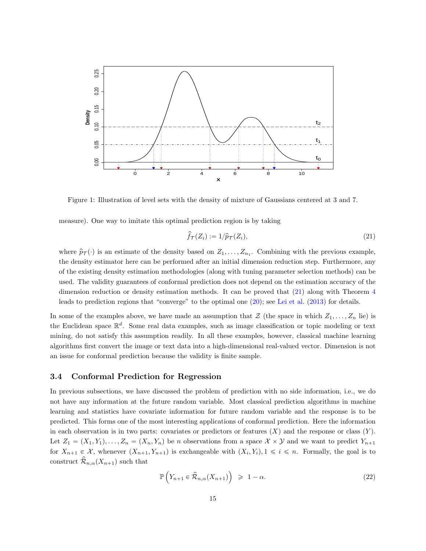

<span id="page-14-1"></span>Figure 1: Illustration of level sets with the density of mixture of Gaussians centered at 3 and 7.

measure). One way to imitate this optimal prediction region is by taking

<span id="page-14-2"></span>
$$
\hat{f}_{\mathcal{T}}(Z_i) := 1/\hat{p}_{\mathcal{T}}(Z_i),\tag{21}
$$

where  $\hat{p}_{\mathcal{T}}(\cdot)$  is an estimate of the density based on  $Z_1, \ldots, Z_{n_1}$ . Combining with the previous example, the density estimator here can be performed after an initial dimension reduction step. Furthermore, any of the existing density estimation methodologies (along with tuning parameter selection methods) can be used. The validity guarantees of conformal prediction does not depend on the estimation accuracy of the dimension reduction or density estimation methods. It can be proved that [\(21\)](#page-14-2) along with Theorem [4](#page-12-0) leads to prediction regions that "converge" to the optimal one [\(20\)](#page-13-1); see [Lei et al.](#page-30-1) [\(2013\)](#page-30-1) for details.

In some of the examples above, we have made an assumption that  $\mathcal Z$  (the space in which  $Z_1, \ldots, Z_n$  lie) is the Euclidean space  $\mathbb{R}^d$ . Some real data examples, such as image classification or topic modeling or text mining, do not satisfy this assumption readily. In all these examples, however, classical machine learning algorithms first convert the image or text data into a high-dimensional real-valued vector. Dimension is not an issue for conformal prediction because the validity is finite sample.

## <span id="page-14-0"></span>3.4 Conformal Prediction for Regression

In previous subsections, we have discussed the problem of prediction with no side information, i.e., we do not have any information at the future random variable. Most classical prediction algorithms in machine learning and statistics have covariate information for future random variable and the response is to be predicted. This forms one of the most interesting applications of conformal prediction. Here the information in each observation is in two parts: covariates or predictors or features  $(X)$  and the response or class  $(Y)$ . Let  $Z_1 = (X_1, Y_1), \ldots, Z_n = (X_n, Y_n)$  be n observations from a space  $\mathcal{X} \times \mathcal{Y}$  and we want to predict  $Y_{n+1}$ for  $X_{n+1} \in \mathcal{X}$ , whenever  $(X_{n+1}, Y_{n+1})$  is exchangeable with  $(X_i, Y_i), 1 \leq i \leq n$ . Formally, the goal is to construct  $\mathcal{R}_{n,\alpha}(X_{n+1})$  such that

<span id="page-14-3"></span>
$$
\mathbb{P}\left(Y_{n+1} \in \hat{\mathcal{R}}_{n,\alpha}(X_{n+1})\right) \geq 1 - \alpha. \tag{22}
$$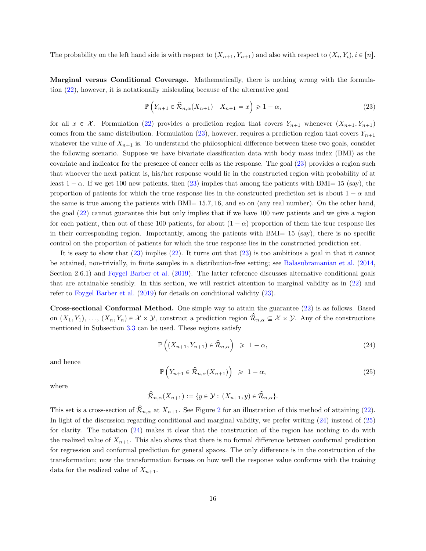The probability on the left hand side is with respect to  $(X_{n+1}, Y_{n+1})$  and also with respect to  $(X_i, Y_i), i \in [n]$ .

Marginal versus Conditional Coverage. Mathematically, there is nothing wrong with the formulation [\(22\)](#page-14-3), however, it is notationally misleading because of the alternative goal

<span id="page-15-0"></span>
$$
\mathbb{P}\left(Y_{n+1} \in \hat{\mathcal{R}}_{n,\alpha}(X_{n+1}) \mid X_{n+1} = x\right) \geq 1 - \alpha,\tag{23}
$$

for all  $x \in \mathcal{X}$ . Formulation [\(22\)](#page-14-3) provides a prediction region that covers  $Y_{n+1}$  whenever  $(X_{n+1}, Y_{n+1})$ comes from the same distribution. Formulation [\(23\)](#page-15-0), however, requires a prediction region that covers  $Y_{n+1}$ whatever the value of  $X_{n+1}$  is. To understand the philosophical difference between these two goals, consider the following scenario. Suppose we have bivariate classification data with body mass index (BMI) as the covariate and indicator for the presence of cancer cells as the response. The goal [\(23\)](#page-15-0) provides a region such that whoever the next patient is, his/her response would lie in the constructed region with probability of at least  $1 - \alpha$ . If we get 100 new patients, then [\(23\)](#page-15-0) implies that among the patients with BMI= 15 (say), the proportion of patients for which the true response lies in the constructed prediction set is about  $1 - \alpha$  and the same is true among the patients with  $BMI = 15.7, 16$ , and so on (any real number). On the other hand, the goal [\(22\)](#page-14-3) cannot guarantee this but only implies that if we have 100 new patients and we give a region for each patient, then out of these 100 patients, for about  $(1 - \alpha)$  proportion of them the true response lies in their corresponding region. Importantly, among the patients with  $BMI = 15$  (say), there is no specific control on the proportion of patients for which the true response lies in the constructed prediction set.

It is easy to show that [\(23\)](#page-15-0) implies [\(22\)](#page-14-3). It turns out that [\(23\)](#page-15-0) is too ambitious a goal in that it cannot be attained, non-trivially, in finite samples in a distribution-free setting; see [Balasubramanian et al.](#page-27-1) [\(2014,](#page-27-1) Section 2.6.1) and [Foygel Barber et al.](#page-29-1) [\(2019\)](#page-29-1). The latter reference discusses alternative conditional goals that are attainable sensibly. In this section, we will restrict attention to marginal validity as in [\(22\)](#page-14-3) and refer to [Foygel Barber et al.](#page-29-1) [\(2019\)](#page-29-1) for details on conditional validity [\(23\)](#page-15-0).

Cross-sectional Conformal Method. One simple way to attain the guarantee [\(22\)](#page-14-3) is as follows. Based on  $(X_1, Y_1), \ldots, (X_n, Y_n) \in \mathcal{X} \times \mathcal{Y}$ , construct a prediction region  $\mathcal{R}_{n,\alpha} \subseteq \mathcal{X} \times \mathcal{Y}$ . Any of the constructions mentioned in Subsection [3.3](#page-11-0) can be used. These regions satisfy

<span id="page-15-1"></span>
$$
\mathbb{P}\left(\left(X_{n+1}, Y_{n+1}\right) \in \hat{\mathcal{R}}_{n,\alpha}\right) \geqslant 1 - \alpha,\tag{24}
$$

and hence

<span id="page-15-2"></span>
$$
\mathbb{P}\left(Y_{n+1} \in \hat{\mathcal{R}}_{n,\alpha}(X_{n+1})\right) \geq 1 - \alpha,\tag{25}
$$

where

$$
\widehat{\mathcal{R}}_{n,\alpha}(X_{n+1}) := \{ y \in \mathcal{Y} : (X_{n+1}, y) \in \widehat{\mathcal{R}}_{n,\alpha} \}.
$$

This set is a cross-section of  $\widehat{\mathcal{R}}_{n,\alpha}$  at  $X_{n+1}$ . See Figure [2](#page-16-0) for an illustration of this method of attaining [\(22\)](#page-14-3). In light of the discussion regarding conditional and marginal validity, we prefer writing [\(24\)](#page-15-1) instead of [\(25\)](#page-15-2) for clarity. The notation [\(24\)](#page-15-1) makes it clear that the construction of the region has nothing to do with the realized value of  $X_{n+1}$ . This also shows that there is no formal difference between conformal prediction for regression and conformal prediction for general spaces. The only difference is in the construction of the transformation; now the transformation focuses on how well the response value conforms with the training data for the realized value of  $X_{n+1}$ .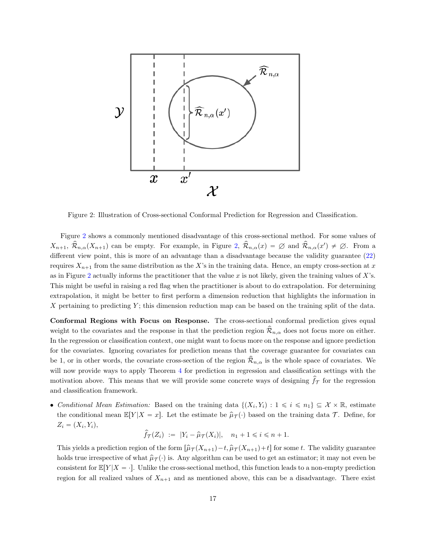

<span id="page-16-0"></span>Figure 2: Illustration of Cross-sectional Conformal Prediction for Regression and Classification.

Figure [2](#page-16-0) shows a commonly mentioned disadvantage of this cross-sectional method. For some values of  $X_{n+1}$ ,  $\hat{\mathcal{R}}_{n,\alpha}(X_{n+1})$  can be empty. For example, in Figure [2,](#page-16-0)  $\hat{\mathcal{R}}_{n,\alpha}(x) = \emptyset$  and  $\hat{\mathcal{R}}_{n,\alpha}(x') \neq \emptyset$ . From a different view point, this is more of an advantage than a disadvantage because the validity guarantee [\(22\)](#page-14-3) requires  $X_{n+1}$  from the same distribution as the X's in the training data. Hence, an empty cross-section at x as in Figure [2](#page-16-0) actually informs the practitioner that the value  $x$  is not likely, given the training values of  $X$ 's. This might be useful in raising a red flag when the practitioner is about to do extrapolation. For determining extrapolation, it might be better to first perform a dimension reduction that highlights the information in X pertaining to predicting  $Y$ ; this dimension reduction map can be based on the training split of the data.

Conformal Regions with Focus on Response. The cross-sectional conformal prediction gives equal weight to the covariates and the response in that the prediction region  $\hat{\mathcal{R}}_{n,\alpha}$  does not focus more on either. In the regression or classification context, one might want to focus more on the response and ignore prediction for the covariates. Ignoring covariates for prediction means that the coverage guarantee for covariates can be 1, or in other words, the covariate cross-section of the region  $\mathcal{R}_{n,\alpha}$  is the whole space of covariates. We will now provide ways to apply Theorem [4](#page-12-0) for prediction in regression and classification settings with the motivation above. This means that we will provide some concrete ways of designing  $f_{\mathcal{T}}$  for the regression and classification framework.

• Conditional Mean Estimation: Based on the training data  $\{(X_i, Y_i): 1 \leq i \leq n_1\} \subseteq \mathcal{X} \times \mathbb{R}$ , estimate the conditional mean  $\mathbb{E}[Y|X=x]$ . Let the estimate be  $\hat{\mu}_T(\cdot)$  based on the training data T. Define, for  $Z_i = (X_i, Y_i),$ 

$$
\widehat{f}_{\mathcal{T}}(Z_i) := |Y_i - \widehat{\mu}_{\mathcal{T}}(X_i)|, \quad n_1 + 1 \leq i \leq n + 1.
$$

This yields a prediction region of the form  $\left[\hat{\mu}_T(X_{n+1})-t, \hat{\mu}_T(X_{n+1})+t\right]$  for some t. The validity guarantee holds true irrespective of what  $\hat{\mu}_T(\cdot)$  is. Any algorithm can be used to get an estimator; it may not even be consistent for  $\mathbb{E}[Y|X = \cdot]$ . Unlike the cross-sectional method, this function leads to a non-empty prediction region for all realized values of  $X_{n+1}$  and as mentioned above, this can be a disadvantage. There exist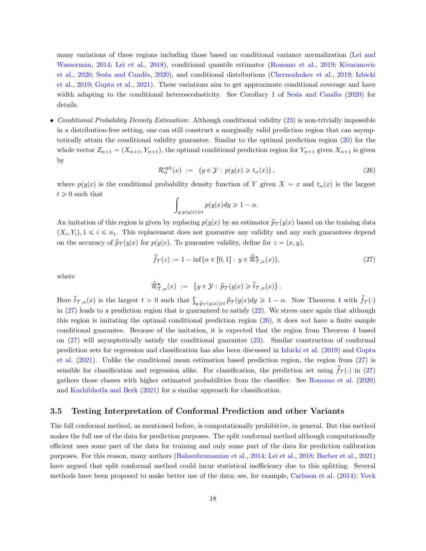many variations of these regions including those based on conditional variance normalization [\(Lei and](#page-30-2) [Wasserman,](#page-30-2) [2014;](#page-30-2) [Lei et al.,](#page-30-3) [2018\)](#page-30-3), conditional quantile estimator [\(Romano et al.,](#page-31-1) [2019;](#page-31-1) [Kivaranovic](#page-30-7) [et al.,](#page-30-7) [2020;](#page-30-7) [Sesia and Cand`es,](#page-31-11) [2020\)](#page-31-11), and conditional distributions [\(Chernozhukov et al.,](#page-28-1) [2019;](#page-28-1) [Izbicki](#page-30-8) [et al.,](#page-30-8) [2019;](#page-30-8) [Gupta et al.,](#page-29-2) [2021\)](#page-29-2). These variations aim to get approximate conditional coverage and have width adapting to the conditional heteroscedasticity. See Corollary 1 of Sesia and Candès [\(2020\)](#page-31-11) for details.

• Conditional Probability Density Estimation: Although conditional validity [\(23\)](#page-15-0) is non-trivially impossible in a distribution-free setting, one can still construct a marginally valid prediction region that can asymptotically attain the conditional validity guarantee. Similar to the optimal prediction region [\(20\)](#page-13-1) for the whole vector  $Z_{n+1} = (X_{n+1}, Y_{n+1})$ , the optimal conditional prediction region for  $Y_{n+1}$  given  $X_{n+1}$  is given by

$$
\mathcal{R}_{\alpha}^{\text{opt}}(x) := \{ y \in \mathcal{Y} : p(y|x) \geq t_{\alpha}(x) \},\tag{26}
$$

where  $p(y|x)$  is the conditional probability density function of Y given  $X = x$  and  $t<sub>\alpha</sub>(x)$  is the largest  $t \geq 0$  such that

<span id="page-17-1"></span><span id="page-17-0"></span>
$$
\int_{y:p(y|x)\geq t} p(y|x)dy \geq 1-\alpha.
$$

An imitation of this region is given by replacing  $p(y|x)$  by an estimator  $\hat{p}_T(y|x)$  based on the training data  $(X_i, Y_i), 1 \leq i \leq n_1$ . This replacement does not guarantee any validity and any such guarantees depend on the accuracy of  $\hat{p}_{\mathcal{T}}(y|x)$  for  $p(y|x)$ . To guarantee validity, define for  $z = (x, y)$ ,

$$
\widehat{f}_{\mathcal{T}}(z) := 1 - \inf \{ \alpha \in [0, 1] : y \in \widehat{\mathcal{R}}^*_{\mathcal{T}, \alpha}(x) \},\tag{27}
$$

where

$$
\widehat{\mathcal{R}}^*_{\mathcal{T},\alpha}(x) := \{ y \in \mathcal{Y} : \widehat{p}_{\mathcal{T}}(y|x) \geq \widehat{t}_{\mathcal{T},\alpha}(x) \}.
$$

Here  $\hat{t}_{\mathcal{T},\alpha}(x)$  is the largest  $t > 0$  such that  $\int_{y:\hat{p}_{\mathcal{T}}(y|x)\geq t} \hat{p}_{\mathcal{T}}(y|x)dy \geq 1-\alpha$ . Now Theorem [4](#page-12-0) with  $\hat{f}_{\mathcal{T}}(\cdot)$ in  $(27)$  leads to a prediction region that is guaranteed to satisfy  $(22)$ . We stress once again that although this region is imitating the optimal conditional prediction region  $(26)$ , it does not have a finite sample conditional guarantee. Because of the imitation, it is expected that the region from Theorem [4](#page-12-0) based on [\(27\)](#page-17-0) will asymptotically satisfy the conditional guarantee [\(23\)](#page-15-0). Similar construction of conformal prediction sets for regression and classification has also been discussed in [Izbicki et al.](#page-30-8) [\(2019\)](#page-30-8) and [Gupta](#page-29-2) [et al.](#page-29-2) [\(2021\)](#page-29-2). Unlike the conditional mean estimation based prediction region, the region from [\(27\)](#page-17-0) is sensible for classification and regression alike. For classification, the prediction set using  $f(\tau)$  in [\(27\)](#page-17-0) gathers those classes with higher estimated probabilities from the classifier. See [Romano et al.](#page-31-12) [\(2020\)](#page-31-12) and [Kuchibhotla and Berk](#page-30-9) [\(2021\)](#page-30-9) for a similar approach for classification.

#### 3.5 Testing Interpretation of Conformal Prediction and other Variants

The full conformal method, as mentioned before, is computationally prohibitive, in general. But this method makes the full use of the data for prediction purposes. The split conformal method although computationally efficient uses some part of the data for training and only some part of the data for prediction calibration purposes. For this reason, many authors [\(Balasubramanian et al.,](#page-27-1) [2014;](#page-27-1) [Lei et al.,](#page-30-3) [2018;](#page-30-3) [Barber et al.,](#page-27-0) [2021\)](#page-27-0) have argued that split conformal method could incur statistical inefficiency due to this splitting. Several methods have been proposed to make better use of the data; see, for example, [Carlsson et al.](#page-28-10) [\(2014\)](#page-28-10); [Vovk](#page-32-5)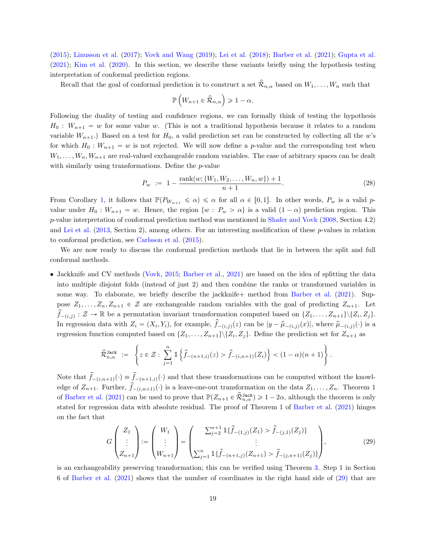[\(2015\)](#page-32-5); [Linusson et al.](#page-30-10) [\(2017\)](#page-30-10); [Vovk and Wang](#page-32-6) [\(2019\)](#page-32-6); [Lei et al.](#page-30-3) [\(2018\)](#page-30-3); [Barber et al.](#page-27-0) [\(2021\)](#page-27-0); [Gupta et al.](#page-29-2) [\(2021\)](#page-29-2); [Kim et al.](#page-30-11) [\(2020\)](#page-30-11). In this section, we describe these variants briefly using the hypothesis testing interpretation of conformal prediction regions.

Recall that the goal of conformal prediction is to construct a set  $\widehat{\mathcal{R}}_{n,\alpha}$  based on  $W_1,\ldots,W_n$  such that

<span id="page-18-1"></span>
$$
\mathbb{P}\left(W_{n+1} \in \hat{\mathcal{R}}_{n,\alpha}\right) \geq 1 - \alpha.
$$

Following the duality of testing and confidence regions, we can formally think of testing the hypothesis  $H_0$ :  $W_{n+1} = w$  for some value w. (This is not a traditional hypothesis because it relates to a random variable  $W_{n+1}$ .) Based on a test for  $H_0$ , a valid prediction set can be constructed by collecting all the w's for which  $H_0 : W_{n+1} = w$  is not rejected. We will now define a p-value and the corresponding test when  $W_1, \ldots, W_n, W_{n+1}$  are real-valued exchangeable random variables. The case of arbitrary spaces can be dealt with similarly using transformations. Define the *p*-value

$$
P_w := 1 - \frac{\text{rank}(w; \{W_1, W_2, \dots, W_n, w\}) + 1}{n + 1}.
$$
\n(28)

From Corollary [1,](#page-5-3) it follows that  $\mathbb{P}(P_{W_{n+1}} \leq \alpha) \leq \alpha$  for all  $\alpha \in [0, 1]$ . In other words,  $P_w$  is a valid pvalue under  $H_0 : W_{n+1} = w$ . Hence, the region  $\{w : P_w > \alpha\}$  is a valid  $(1 - \alpha)$  prediction region. This p-value interpretation of conformal prediction method was mentioned in [Shafer and Vovk](#page-31-4) [\(2008,](#page-31-4) Section 4.2) and [Lei et al.](#page-30-1) [\(2013,](#page-30-1) Section 2), among others. For an interesting modification of these p-values in relation to conformal prediction, see [Carlsson et al.](#page-28-11) [\(2015\)](#page-28-11).

We are now ready to discuss the conformal prediction methods that lie in between the split and full conformal methods.

• Jackknife and CV methods [\(Vovk,](#page-32-5) [2015;](#page-32-5) [Barber et al.,](#page-27-0) [2021\)](#page-27-0) are based on the idea of splitting the data into multiple disjoint folds (instead of just 2) and then combine the ranks or transformed variables in some way. To elaborate, we briefly describe the jackknife + method from [Barber et al.](#page-27-0) [\(2021\)](#page-27-0). Suppose  $Z_1, \ldots, Z_n, Z_{n+1} \in \mathcal{Z}$  are exchangeable random variables with the goal of predicting  $Z_{n+1}$ . Let  $\widehat{f}_{-(i,j)} : \mathcal{Z} \to \mathbb{R}$  be a permutation invariant transformation computed based on  $\{Z_1, \ldots, Z_{n+1}\} \setminus \{Z_i, Z_j\}.$ In regression data with  $Z_i = (X_i, Y_i)$ , for example,  $\hat{f}_{-(i,j)}(z)$  can be  $|y - \hat{\mu}_{-(i,j)}(x)|$ , where  $\hat{\mu}_{-(i,j)}(\cdot)$  is a regression function computed based on  $\{Z_1, \ldots, Z_{n+1}\}\$ . Define the prediction set for  $Z_{n+1}$  as

$$
\widehat{\mathcal{R}}_{n,\alpha}^{\texttt{Jack}} := \left\{ z \in \mathcal{Z} : \sum_{j=1}^{n} \mathbb{1} \left\{ \widehat{f}_{-(n+1,i)}(z) > \widehat{f}_{-(i,n+1)}(Z_i) \right\} < (1-\alpha)(n+1) \right\}.
$$

Note that  $f_{-(i,n+1)}(.) \equiv \hat{f}_{-(n+1,i)}(.)$  and that these transformations can be computed without the knowledge of  $Z_{n+1}$ . Further,  $\hat{f}_{-(i,n+1)}(\cdot)$  is a leave-one-out transformation on the data  $Z_1, \ldots, Z_n$ . Theorem 1 of [Barber et al.](#page-27-0) [\(2021\)](#page-27-0) can be used to prove that  $\mathbb{P}(Z_{n+1} \in \hat{\mathcal{R}}_{n,\alpha}^{\text{Jack}}) \geq 1-2\alpha$ , although the theorem is only stated for regression data with absolute residual. The proof of Theorem 1 of [Barber et al.](#page-27-0) [\(2021\)](#page-27-0) hinges on the fact that

<span id="page-18-0"></span>
$$
G\begin{pmatrix} Z_1 \\ \vdots \\ Z_{n+1} \end{pmatrix} := \begin{pmatrix} W_1 \\ \vdots \\ W_{n+1} \end{pmatrix} = \begin{pmatrix} \sum_{j=2}^{n+1} \mathbb{1} \{ \hat{f}_{-(1,j)}(Z_1) > \hat{f}_{-(j,1)}(Z_j) \} \\ \vdots \\ \sum_{j=1}^{n} \mathbb{1} \{ \hat{f}_{-(n+1,j)}(Z_{n+1}) > \hat{f}_{-(j,n+1)}(Z_j) \} \end{pmatrix},
$$
(29)

is an exchangeability preserving transformation; this can be verified using Theorem [3.](#page-6-1) Step 1 in Section 6 of [Barber et al.](#page-27-0) [\(2021\)](#page-27-0) shows that the number of coordinates in the right hand side of [\(29\)](#page-18-0) that are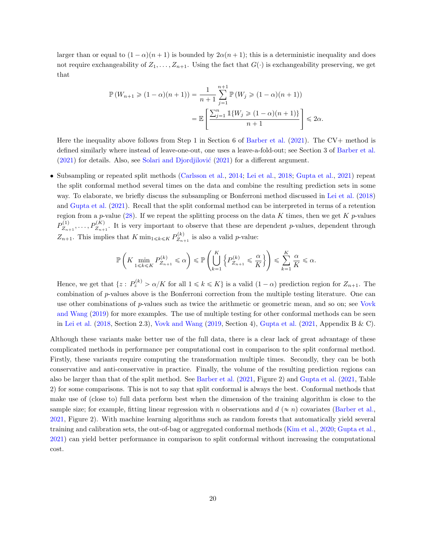larger than or equal to  $(1 - \alpha)(n + 1)$  is bounded by  $2\alpha(n + 1)$ ; this is a deterministic inequality and does not require exchangeability of  $Z_1, \ldots, Z_{n+1}$ . Using the fact that  $G(\cdot)$  is exchangeability preserving, we get that

$$
\mathbb{P}(W_{n+1} \geq (1 - \alpha)(n+1)) = \frac{1}{n+1} \sum_{j=1}^{n+1} \mathbb{P}(W_j \geq (1 - \alpha)(n+1))
$$

$$
= \mathbb{E}\left[\frac{\sum_{j=1}^{n} \mathbb{1}\{W_j \geq (1 - \alpha)(n+1)\}}{n+1}\right] \leq 2\alpha.
$$

Here the inequality above follows from Step 1 in Section 6 of [Barber et al.](#page-27-0) [\(2021\)](#page-27-0). The CV+ method is defined similarly where instead of leave-one-out, one uses a leave-a-fold-out; see Section 3 of [Barber et al.](#page-27-0)  $(2021)$  for details. Also, see Solari and Djordjilović  $(2021)$  for a different argument.

• Subsampling or repeated split methods [\(Carlsson et al.,](#page-28-10) [2014;](#page-28-10) [Lei et al.,](#page-30-3) [2018;](#page-30-3) [Gupta et al.,](#page-29-2) [2021\)](#page-29-2) repeat the split conformal method several times on the data and combine the resulting prediction sets in some way. To elaborate, we briefly discuss the subsampling or Bonferroni method discussed in [Lei et al.](#page-30-3) [\(2018\)](#page-30-3) and [Gupta et al.](#page-29-2) [\(2021\)](#page-29-2). Recall that the split conformal method can be interpreted in terms of a retention region from a p-value [\(28\)](#page-18-1). If we repeat the splitting process on the data K times, then we get K p-values  $P_{Z_{n}}^{(1)}$  $Z_{Z_{n+1}}^{(1)}, \ldots, P_{Z_{n+1}}^{(K)}$ . It is very important to observe that these are dependent p-values, dependent through  $Z_{n+1}$ . This implies that K min<sub>1≤k≤K</sub>  $P_{Z_n}^{(k)}$  $\sum_{Z_{n+1}}^{\infty}$  is also a valid *p*-value:

$$
\mathbb{P}\left(K\min_{1\leqslant k\leqslant K}P_{Z_{n+1}}^{(k)}\leqslant\alpha\right)\leqslant\mathbb{P}\left(\bigcup_{k=1}^{K}\left\{P_{Z_{n+1}}^{(k)}\leqslant\frac{\alpha}{K}\right\}\right)\leqslant\sum_{k=1}^{K}\frac{\alpha}{K}\leqslant\alpha.
$$

Hence, we get that  $\{z: P_z^{(k)} > \alpha/K \text{ for all } 1 \leq k \leq K\}$  is a valid  $(1-\alpha)$  prediction region for  $Z_{n+1}$ . The combination of p-values above is the Bonferroni correction from the multiple testing literature. One can use other combinations of p-values such as twice the arithmetic or geometric mean, and so on; see [Vovk](#page-32-6) [and Wang](#page-32-6) [\(2019\)](#page-32-6) for more examples. The use of multiple testing for other conformal methods can be seen in [Lei et al.](#page-30-3) [\(2018,](#page-30-3) Section 2.3), [Vovk and Wang](#page-32-6) [\(2019,](#page-32-6) Section 4), [Gupta et al.](#page-29-2) [\(2021,](#page-29-2) Appendix B & C).

Although these variants make better use of the full data, there is a clear lack of great advantage of these complicated methods in performance per computational cost in comparison to the split conformal method. Firstly, these variants require computing the transformation multiple times. Secondly, they can be both conservative and anti-conservative in practice. Finally, the volume of the resulting prediction regions can also be larger than that of the split method. See [Barber et al.](#page-27-0) [\(2021,](#page-27-0) Figure 2) and [Gupta et al.](#page-29-2) [\(2021,](#page-29-2) Table 2) for some comparisons. This is not to say that split conformal is always the best. Conformal methods that make use of (close to) full data perform best when the dimension of the training algorithm is close to the sample size; for example, fitting linear regression with n observations and  $d \approx n$  covariates [\(Barber et al.,](#page-27-0) [2021,](#page-27-0) Figure 2). With machine learning algorithms such as random forests that automatically yield several training and calibration sets, the out-of-bag or aggregated conformal methods [\(Kim et al.,](#page-30-11) [2020;](#page-30-11) [Gupta et al.,](#page-29-2) [2021\)](#page-29-2) can yield better performance in comparison to split conformal without increasing the computational cost.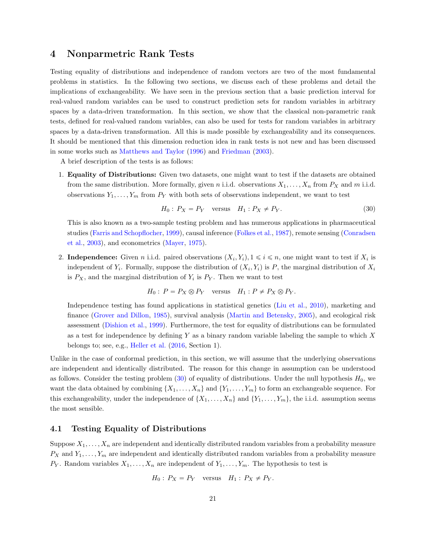# <span id="page-20-0"></span>4 Nonparmetric Rank Tests

Testing equality of distributions and independence of random vectors are two of the most fundamental problems in statistics. In the following two sections, we discuss each of these problems and detail the implications of exchangeability. We have seen in the previous section that a basic prediction interval for real-valued random variables can be used to construct prediction sets for random variables in arbitrary spaces by a data-driven transformation. In this section, we show that the classical non-parametric rank tests, defined for real-valued random variables, can also be used for tests for random variables in arbitrary spaces by a data-driven transformation. All this is made possible by exchangeability and its consequences. It should be mentioned that this dimension reduction idea in rank tests is not new and has been discussed in some works such as [Matthews and Taylor](#page-31-0) [\(1996\)](#page-31-0) and [Friedman](#page-29-0) [\(2003\)](#page-29-0).

A brief description of the tests is as follows:

1. Equality of Distributions: Given two datasets, one might want to test if the datasets are obtained from the same distribution. More formally, given n i.i.d. observations  $X_1, \ldots, X_n$  from  $P_X$  and m i.i.d. observations  $Y_1, \ldots, Y_m$  from  $P_Y$  with both sets of observations independent, we want to test

<span id="page-20-1"></span>
$$
H_0: P_X = P_Y \quad \text{versus} \quad H_1: P_X \neq P_Y. \tag{30}
$$

This is also known as a two-sample testing problem and has numerous applications in pharmaceutical studies [\(Farris and Schopflocher,](#page-29-5) [1999\)](#page-29-5), causal inference [\(Folkes et al.,](#page-29-6) [1987\)](#page-29-6), remote sensing [\(Conradsen](#page-28-12) [et al.,](#page-28-12) [2003\)](#page-28-12), and econometrics [\(Mayer,](#page-31-14) [1975\)](#page-31-14).

2. Independence: Given *n* i.i.d. paired observations  $(X_i, Y_i)$ ,  $1 \leq i \leq n$ , one might want to test if  $X_i$  is independent of  $Y_i$ . Formally, suppose the distribution of  $(X_i, Y_i)$  is P, the marginal distribution of  $X_i$ is  $P_X$ , and the marginal distribution of  $Y_i$  is  $P_Y$ . Then we want to test

$$
H_0: P = P_X \otimes P_Y \quad \text{versus} \quad H_1: P \neq P_X \otimes P_Y.
$$

Independence testing has found applications in statistical genetics [\(Liu et al.,](#page-30-12) [2010\)](#page-30-12), marketing and finance [\(Grover and Dillon,](#page-29-7) [1985\)](#page-29-7), survival analysis [\(Martin and Betensky,](#page-30-13) [2005\)](#page-30-13), and ecological risk assessment [\(Dishion et al.,](#page-29-8) [1999\)](#page-29-8). Furthermore, the test for equality of distributions can be formulated as a test for independence by defining  $Y$  as a binary random variable labeling the sample to which  $X$ belongs to; see, e.g., [Heller et al.](#page-29-9) [\(2016,](#page-29-9) Section 1).

Unlike in the case of conformal prediction, in this section, we will assume that the underlying observations are independent and identically distributed. The reason for this change in assumption can be understood as follows. Consider the testing problem  $(30)$  of equality of distributions. Under the null hypothesis  $H_0$ , we want the data obtained by combining  $\{X_1, \ldots, X_n\}$  and  $\{Y_1, \ldots, Y_m\}$  to form an exchangeable sequence. For this exchangeability, under the independence of  $\{X_1, \ldots, X_n\}$  and  $\{Y_1, \ldots, Y_m\}$ , the i.i.d. assumption seems the most sensible.

#### <span id="page-20-2"></span>4.1 Testing Equality of Distributions

Suppose  $X_1, \ldots, X_n$  are independent and identically distributed random variables from a probability measure  $P_X$  and  $Y_1, \ldots, Y_m$  are independent and identically distributed random variables from a probability measure  $P_Y$ . Random variables  $X_1, \ldots, X_n$  are independent of  $Y_1, \ldots, Y_m$ . The hypothesis to test is

$$
H_0: P_X = P_Y \quad \text{versus} \quad H_1: P_X \neq P_Y.
$$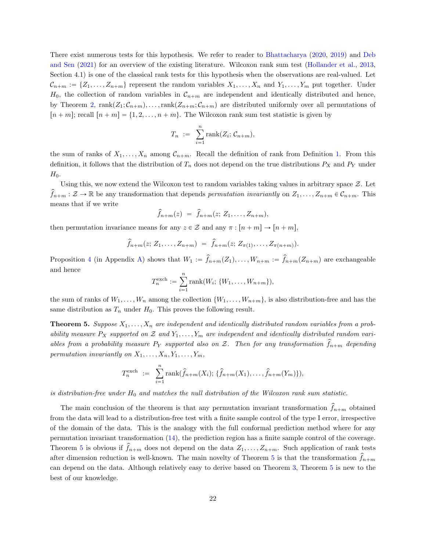There exist numerous tests for this hypothesis. We refer to reader to [Bhattacharya](#page-28-13) [\(2020,](#page-28-13) [2019\)](#page-28-14) and [Deb](#page-28-3) [and Sen](#page-28-3) [\(2021\)](#page-28-3) for an overview of the existing literature. Wilcoxon rank sum test [\(Hollander et al.,](#page-30-14) [2013,](#page-30-14) Section 4.1) is one of the classical rank tests for this hypothesis when the observations are real-valued. Let  $\mathcal{C}_{n+m} := \{Z_1, \ldots, Z_{n+m}\}$  represent the random variables  $X_1, \ldots, X_n$  and  $Y_1, \ldots, Y_m$  put together. Under  $H_0$ , the collection of random variables in  $\mathcal{C}_{n+m}$  are independent and identically distributed and hence, by Theorem [2,](#page-5-1)  $rank(Z_1; C_{n+m}), \ldots, rank(Z_{n+m}; C_{n+m})$  are distributed uniformly over all permutations of  $[n + m]$ ; recall  $[n + m] = \{1, 2, \ldots, n + m\}$ . The Wilcoxon rank sum test statistic is given by

$$
T_n := \sum_{i=1}^n \text{rank}(Z_i; \mathcal{C}_{n+m}),
$$

the sum of ranks of  $X_1, \ldots, X_n$  among  $C_{n+m}$ . Recall the definition of rank from Definition [1.](#page-4-2) From this definition, it follows that the distribution of  $T_n$  does not depend on the true distributions  $P_X$  and  $P_Y$  under  $H_0$ .

Using this, we now extend the Wilcoxon test to random variables taking values in arbitrary space  $Z$ . Let  $\hat{f}_{n+m} : \mathcal{Z} \to \mathbb{R}$  be any transformation that depends permutation invariantly on  $Z_1, \ldots, Z_{n+m} \in \mathcal{C}_{n+m}$ . This means that if we write

$$
\hat{f}_{n+m}(z) = \hat{f}_{n+m}(z; Z_1, \ldots, Z_{n+m}),
$$

then permutation invariance means for any  $z \in \mathcal{Z}$  and any  $\pi : [n + m] \rightarrow [n + m]$ ,

$$
\hat{f}_{n+m}(z; Z_1, \ldots, Z_{n+m}) = \hat{f}_{n+m}(z; Z_{\pi(1)}, \ldots, Z_{\pi(n+m)}).
$$

Proposition [4](#page-33-0) (in Appendix [A\)](#page-33-1) shows that  $W_1 := \hat{f}_{n+m}(Z_1), \ldots, W_{n+m} := \hat{f}_{n+m}(Z_{n+m})$  are exchangeable and hence

$$
T_n^{\text{exch}} := \sum_{i=1}^n \text{rank}(W_i; \{W_1, \ldots, W_{n+m}\}),
$$

the sum of ranks of  $W_1, \ldots, W_n$  among the collection  $\{W_1, \ldots, W_{n+m}\}$ , is also distribution-free and has the same distribution as  $T_n$  under  $H_0$ . This proves the following result.

<span id="page-21-0"></span>**Theorem 5.** Suppose  $X_1, \ldots, X_n$  are independent and identically distributed random variables from a probability measure  $P_X$  supported on Z and  $Y_1, \ldots, Y_m$  are independent and identically distributed random variables from a probability measure  $P_Y$  supported also on Z. Then for any transformation  $\hat{f}_{n+m}$  depending permutation invariantly on  $X_1, \ldots, X_n, Y_1, \ldots, Y_m$ ,

$$
T_n^{\text{exch}} := \sum_{i=1}^n \text{rank}(\hat{f}_{n+m}(X_i); \{\hat{f}_{n+m}(X_1), \ldots, \hat{f}_{n+m}(Y_m)\}),
$$

is distribution-free under  $H_0$  and matches the null distribution of the Wilcoxon rank sum statistic.

The main conclusion of the theorem is that any permutation invariant transformation  $f_{n+m}$  obtained from the data will lead to a distribution-free test with a finite sample control of the type I error, irrespective of the domain of the data. This is the analogy with the full conformal prediction method where for any permutation invariant transformation [\(14\)](#page-9-3), the prediction region has a finite sample control of the coverage. Theorem [5](#page-21-0) is obvious if  $\hat{f}_{n+m}$  does not depend on the data  $Z_1, \ldots, Z_{n+m}$ . Such application of rank tests after dimension reduction is well-known. The main novelty of Theorem [5](#page-21-0) is that the transformation  $f_{n+m}$ can depend on the data. Although relatively easy to derive based on Theorem [3,](#page-6-1) Theorem [5](#page-21-0) is new to the best of our knowledge.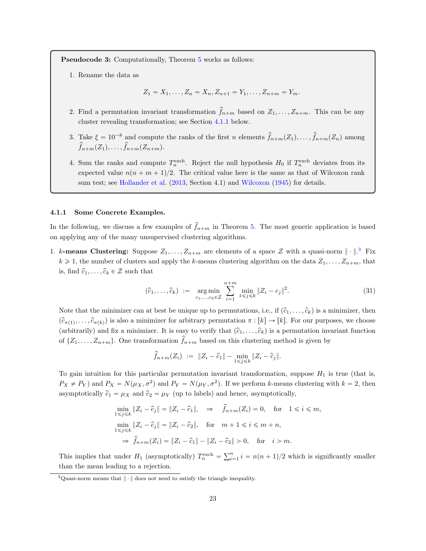Pseudocode 3: Computationally, Theorem [5](#page-21-0) works as follows:

1. Rename the data as

$$
Z_1 = X_1, \dots, Z_n = X_n, Z_{n+1} = Y_1, \dots, Z_{n+m} = Y_m.
$$

- 2. Find a permutation invariant transformation  $f_{n+m}$  based on  $Z_1, \ldots, Z_{n+m}$ . This can be any cluster revealing transformation; see Section [4.1.1](#page-22-0) below.
- 3. Take  $\xi = 10^{-8}$  and compute the ranks of the first n elements  $\hat{f}_{n+m}(Z_1), \ldots, \hat{f}_{n+m}(Z_n)$  among  $\widehat{f}_{n+m}(Z_1), \ldots, \widehat{f}_{n+m}(Z_{n+m}).$
- 4. Sum the ranks and compute  $T_n^{\text{exch}}$ . Reject the null hypothesis  $H_0$  if  $T_n^{\text{exch}}$  deviates from its expected value  $n(n + m + 1)/2$ . The critical value here is the same as that of Wilcoxon rank sum test; see [Hollander et al.](#page-30-14) [\(2013,](#page-30-14) Section 4.1) and [Wilcoxon](#page-32-7) [\(1945\)](#page-32-7) for details.

#### <span id="page-22-0"></span>4.1.1 Some Concrete Examples.

In the following, we discuss a few examples of  $\hat{f}_{n+m}$  in Theorem [5.](#page-21-0) The most generic application is based on applying any of the many unsupervised clustering algorithms.

1. k-means Clustering: Suppose  $Z_1, \ldots, Z_{n+m}$  are elements of a space  $\mathcal Z$  with a quasi-norm  $\|\cdot\|^3$  $\|\cdot\|^3$  Fix  $k \geq 1$ , the number of clusters and apply the k-means clustering algorithm on the data  $Z_1, \ldots, Z_{n+m}$ , that is, find  $\hat{c}_1, \ldots, \hat{c}_k \in \mathcal{Z}$  such that

<span id="page-22-2"></span>
$$
(\hat{c}_1, \dots, \hat{c}_k) := \underset{c_1, \dots, c_k \in \mathcal{Z}}{\arg \min} \sum_{i=1}^{n+m} \underset{1 \leq j \leq k}{\min} \|Z_i - c_j\|^2. \tag{31}
$$

Note that the minimizer can at best be unique up to permutations, i.e., if  $(\hat{c}_1, \ldots, \hat{c}_k)$  is a minimizer, then  $(\hat{c}_{\pi(1)},\ldots,\hat{c}_{\pi(k)})$  is also a minimizer for arbitrary permutation  $\pi : [k] \to [k]$ . For our purposes, we choose (arbitrarily) and fix a minimizer. It is easy to verify that  $(\hat{c}_1, \ldots, \hat{c}_k)$  is a permutation invariant function of  $\{Z_1, \ldots, Z_{n+m}\}.$  One transformation  $\hat{f}_{n+m}$  based on this clustering method is given by

$$
\hat{f}_{n+m}(Z_i) := \|Z_i - \hat{c}_1\| - \min_{1 \leq j \leq k} \|Z_i - \hat{c}_j\|.
$$

To gain intuition for this particular permutation invariant transformation, suppose  $H_1$  is true (that is,  $P_X \neq P_Y$ ) and  $P_X = N(\mu_X, \sigma^2)$  and  $P_Y = N(\mu_Y, \sigma^2)$ . If we perform k-means clustering with  $k = 2$ , then asymptotically  $\hat{c}_1 = \mu_X$  and  $\hat{c}_2 = \mu_Y$  (up to labels) and hence, asymptotically,

$$
\min_{1 \le j \le k} \|Z_i - \hat{c}_j\| = \|Z_i - \hat{c}_1\|, \quad \Rightarrow \quad \hat{f}_{n+m}(Z_i) = 0, \quad \text{for} \quad 1 \le i \le m,
$$
\n
$$
\min_{1 \le j \le k} \|Z_i - \hat{c}_j\| = \|Z_i - \hat{c}_2\|, \quad \text{for} \quad m+1 \le i \le m+n,
$$
\n
$$
\Rightarrow \hat{f}_{n+m}(Z_i) = \|Z_i - \hat{c}_1\| - \|Z_i - \hat{c}_2\| > 0, \quad \text{for} \quad i > m.
$$

This implies that under  $H_1$  (asymptotically)  $T_n^{\text{exch}} = \sum_{i=1}^n$  $i = \binom{n}{i-1}$  i =  $n(n + 1)/2$  which is significantly smaller than the mean leading to a rejection.

<span id="page-22-1"></span> $3$ Quasi-norm means that  $\|\cdot\|$  does not need to satisfy the triangle inequality.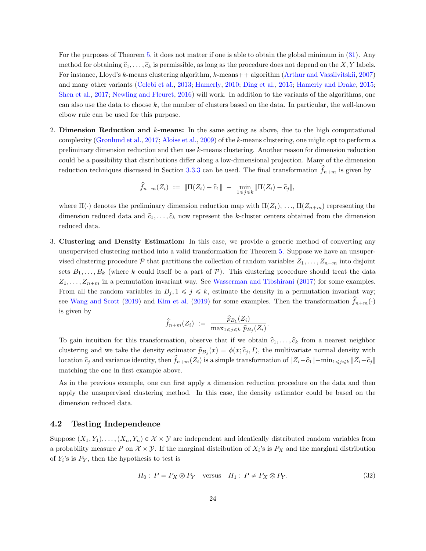For the purposes of Theorem [5,](#page-21-0) it does not matter if one is able to obtain the global minimum in [\(31\)](#page-22-2). Any method for obtaining  $\hat{c}_1, \ldots, \hat{c}_k$  is permissible, as long as the procedure does not depend on the X, Y labels. For instance, Lloyd's k-means clustering algorithm, k-means++ algorithm [\(Arthur and Vassilvitskii,](#page-27-3) [2007\)](#page-27-3) and many other variants [\(Celebi et al.,](#page-28-15) [2013;](#page-28-15) [Hamerly,](#page-29-10) [2010;](#page-29-10) [Ding et al.,](#page-29-11) [2015;](#page-29-11) [Hamerly and Drake,](#page-29-12) [2015;](#page-29-12) [Shen et al.,](#page-31-15) [2017;](#page-31-15) [Newling and Fleuret,](#page-31-16) [2016\)](#page-31-16) will work. In addition to the variants of the algorithms, one can also use the data to choose  $k$ , the number of clusters based on the data. In particular, the well-known elbow rule can be used for this purpose.

2. Dimension Reduction and  $k$ -means: In the same setting as above, due to the high computational complexity [\(Grønlund et al.,](#page-29-13) [2017;](#page-29-13) [Aloise et al.,](#page-27-4) [2009\)](#page-27-4) of the k-means clustering, one might opt to perform a preliminary dimension reduction and then use k-means clustering. Another reason for dimension reduction could be a possibility that distributions differ along a low-dimensional projection. Many of the dimension reduction techniques discussed in Section [3.3.3](#page-13-0) can be used. The final transformation  $\hat{f}_{n+m}$  is given by

$$
\widehat{f}_{n+m}(Z_i) := \|\Pi(Z_i) - \widehat{c}_1\| - \min_{1 \leq j \leq k} \|\Pi(Z_i) - \widehat{c}_j\|,
$$

where  $\Pi(\cdot)$  denotes the preliminary dimension reduction map with  $\Pi(Z_1), \ldots, \Pi(Z_{n+m})$  representing the dimension reduced data and  $\hat{c}_1, \ldots, \hat{c}_k$  now represent the k-cluster centers obtained from the dimension reduced data.

3. Clustering and Density Estimation: In this case, we provide a generic method of converting any unsupervised clustering method into a valid transformation for Theorem [5.](#page-21-0) Suppose we have an unsupervised clustering procedure P that partitions the collection of random variables  $Z_1, \ldots, Z_{n+m}$  into disjoint sets  $B_1, \ldots, B_k$  (where k could itself be a part of  $P$ ). This clustering procedure should treat the data  $Z_1, \ldots, Z_{n+m}$  in a permutation invariant way. See [Wasserman and Tibshirani](#page-32-8) [\(2017\)](#page-32-8) for some examples. From all the random variables in  $B_j, 1 \leq j \leq k$ , estimate the density in a permutation invariant way; see [Wang and Scott](#page-32-9) [\(2019\)](#page-30-15) and [Kim et al.](#page-30-15) (2019) for some examples. Then the transformation  $f_{n+m}(\cdot)$ is given by

$$
\widehat{f}_{n+m}(Z_i) := \frac{\widehat{p}_{B_1}(Z_i)}{\max_{1 \leq j \leq k} \widehat{p}_{B_j}(Z_i)}.
$$

To gain intuition for this transformation, observe that if we obtain  $\hat{c}_1, \ldots, \hat{c}_k$  from a nearest neighbor clustering and we take the density estimator  $\hat{p}_{B_j}(x) = \phi(x; \hat{c}_j, I)$ , the multivariate normal density with location  $\hat{c}_j$  and variance identity, then  $f_{n+m}(Z_i)$  is a simple transformation of  $||Z_i-\hat{c}_1||-\min_{1\leq j\leq k}||Z_i-\hat{c}_j||$ matching the one in first example above.

As in the previous example, one can first apply a dimension reduction procedure on the data and then apply the unsupervised clustering method. In this case, the density estimator could be based on the dimension reduced data.

### <span id="page-23-1"></span>4.2 Testing Independence

Suppose  $(X_1, Y_1), \ldots, (X_n, Y_n) \in \mathcal{X} \times \mathcal{Y}$  are independent and identically distributed random variables from a probability measure P on  $\mathcal{X} \times \mathcal{Y}$ . If the marginal distribution of  $X_i$ 's is  $P_X$  and the marginal distribution of  $Y_i$ 's is  $P_Y$ , then the hypothesis to test is

<span id="page-23-0"></span>
$$
H_0: P = P_X \otimes P_Y \quad \text{versus} \quad H_1: P \neq P_X \otimes P_Y. \tag{32}
$$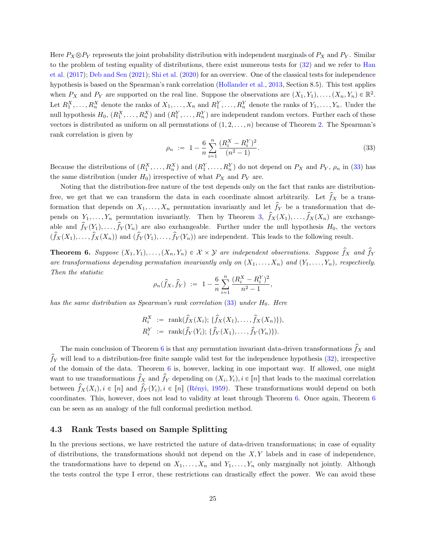Here  $P_X \otimes P_Y$  represents the joint probability distribution with independent marginals of  $P_X$  and  $P_Y$ . Similar to the problem of testing equality of distributions, there exist numerous tests for [\(32\)](#page-23-0) and we refer to [Han](#page-29-14) [et al.](#page-29-14) [\(2017\)](#page-29-14); [Deb and Sen](#page-28-3) [\(2021\)](#page-28-3); [Shi et al.](#page-31-17) [\(2020\)](#page-31-17) for an overview. One of the classical tests for independence hypothesis is based on the Spearman's rank correlation [\(Hollander et al.,](#page-30-14) [2013,](#page-30-14) Section 8.5). This test applies when  $P_X$  and  $P_Y$  are supported on the real line. Suppose the observations are  $(X_1, Y_1), \ldots, (X_n, Y_n) \in \mathbb{R}^2$ . Let  $R_1^X, \ldots, R_n^X$  denote the ranks of  $X_1, \ldots, X_n$  and  $R_1^Y, \ldots, R_n^Y$  denote the ranks of  $Y_1, \ldots, Y_n$ . Under the null hypothesis  $H_0, (R_1^X, \ldots, R_n^X)$  and  $(R_1^Y, \ldots, R_n^Y)$  are independent random vectors. Further each of these vectors is distributed as uniform on all permutations of  $(1, 2, \ldots, n)$  because of Theorem [2.](#page-5-1) The Spearman's rank correlation is given by

<span id="page-24-0"></span>
$$
\rho_n := 1 - \frac{6}{n} \sum_{i=1}^n \frac{(R_i^X - R_i^Y)^2}{(n^2 - 1)}.
$$
\n(33)

Because the distributions of  $(R_1^X, \ldots, R_n^X)$  and  $(R_1^Y, \ldots, R_n^Y)$  do not depend on  $P_X$  and  $P_Y$ ,  $\rho_n$  in [\(33\)](#page-24-0) has the same distribution (under  $H_0$ ) irrespective of what  $P_X$  and  $P_Y$  are.

Noting that the distribution-free nature of the test depends only on the fact that ranks are distributionfree, we get that we can transform the data in each coordinate almost arbitrarily. Let  $\hat{f}_X$  be a transformation that depends on  $X_1, \ldots, X_n$  permutation invariantly and let  $\hat{f}_Y$  be a transformation that depends on  $Y_1, \ldots, Y_n$  permutation invariantly. Then by Theorem [3,](#page-6-1)  $\hat{f}_X(X_1), \ldots, \hat{f}_X(X_n)$  are exchangeable and  $\hat{f}_Y(Y_1), \ldots, \hat{f}_Y(Y_n)$  are also exchangeable. Further under the null hypothesis  $H_0$ , the vectors  $(\hat{f}_X(X_1), \ldots, \hat{f}_X(X_n))$  and  $(\hat{f}_Y(Y_1), \ldots, \hat{f}_Y(Y_n))$  are independent. This leads to the following result.

<span id="page-24-1"></span>**Theorem 6.** Suppose  $(X_1, Y_1), \ldots, (X_n, Y_n) \in \mathcal{X} \times \mathcal{Y}$  are independent observations. Suppose  $\hat{f}_X$  and  $\hat{f}_Y$ are transformations depending permutation invariantly only on  $(X_1, \ldots, X_n)$  and  $(Y_1, \ldots, Y_n)$ , respectively. Then the statistic

$$
\rho_n(\hat{f}_X, \hat{f}_Y) := 1 - \frac{6}{n} \sum_{i=1}^n \frac{(R_i^X - R_i^Y)^2}{n^2 - 1},
$$

has the same distribution as Spearman's rank correlation  $(33)$  under  $H_0$ . Here

$$
R_i^X := \text{rank}(\hat{f}_X(X_i); \{\hat{f}_X(X_1), \dots, \hat{f}_X(X_n)\}),
$$
  

$$
R_i^Y := \text{rank}(\hat{f}_Y(Y_i); \{\hat{f}_Y(X_1), \dots, \hat{f}_Y(Y_n)\}).
$$

The main conclusion of Theorem [6](#page-24-1) is that any permutation invariant data-driven transformations  $\hat{f}_X$  and  $\hat{f}_Y$  will lead to a distribution-free finite sample valid test for the independence hypothesis [\(32\)](#page-23-0), irrespective of the domain of the data. Theorem [6](#page-24-1) is, however, lacking in one important way. If allowed, one might want to use transformations  $\hat{f}_X$  and  $\hat{f}_Y$  depending on  $(X_i, Y_i), i \in [n]$  that leads to the maximal correlation between  $\hat{f}_X(X_i), i \in [n]$  and  $\hat{f}_Y(Y_i), i \in [n]$  (Rényi, [1959\)](#page-31-18). These transformations would depend on both coordinates. This, however, does not lead to validity at least through Theorem [6.](#page-24-1) Once again, Theorem [6](#page-24-1) can be seen as an analogy of the full conformal prediction method.

#### 4.3 Rank Tests based on Sample Splitting

In the previous sections, we have restricted the nature of data-driven transformations; in case of equality of distributions, the transformations should not depend on the  $X, Y$  labels and in case of independence, the transformations have to depend on  $X_1, \ldots, X_n$  and  $Y_1, \ldots, Y_n$  only marginally not jointly. Although the tests control the type I error, these restrictions can drastically effect the power. We can avoid these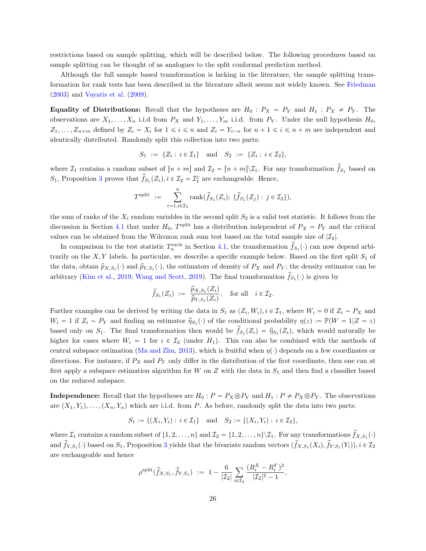restrictions based on sample splitting, which will be described below. The following procedures based on sample splitting can be thought of as analogues to the split conformal prediction method.

Although the full sample based transformation is lacking in the literature, the sample splitting transformation for rank tests has been described in the literature albeit seems not widely known. See [Friedman](#page-29-0) [\(2003\)](#page-29-0) and [Vayatis et al.](#page-32-0) [\(2009\)](#page-32-0).

**Equality of Distributions:** Recall that the hypotheses are  $H_0$ :  $P_X = P_Y$  and  $H_1 : P_X \neq P_Y$ . The observations are  $X_1, \ldots, X_n$  i.i.d from  $P_X$  and  $Y_1, \ldots, Y_m$  i.i.d. from  $P_Y$ . Under the null hypothesis  $H_0$ ,  $Z_1, \ldots, Z_{n+m}$  defined by  $Z_i = X_i$  for  $1 \leq i \leq n$  and  $Z_i = Y_{i-n}$  for  $n + 1 \leq i \leq n + m$  are independent and identically distributed. Randomly split this collection into two parts:

$$
S_1 := \{ Z_i : i \in \mathcal{I}_1 \} \text{ and } S_2 := \{ Z_i : i \in \mathcal{I}_2 \},
$$

where  $\mathcal{I}_1$  contains a random subset of  $[n + m]$  and  $\mathcal{I}_2 = [n + m] \setminus \mathcal{I}_1$ . For any transformation  $\hat{f}_{S_1}$  based on  $S_1$ , Proposition [3](#page-33-2) proves that  $\hat{f}_{S_1}(Z_i)$ ,  $i \in \mathcal{I}_2 = \mathcal{I}_1^c$  are exchangeable. Hence,

$$
T^{\text{split}} := \sum_{i=1, i \in \mathcal{I}_2}^n \text{rank}(\hat{f}_{S_1}(Z_i); \ \{\hat{f}_{S_1}(Z_j) : j \in \mathcal{I}_2\}),
$$

the sum of ranks of the  $X_i$  random variables in the second split  $S_2$  is a valid test statistic. It follows from the discussion in Section [4.1](#page-20-2) that under  $H_0$ , T<sup>split</sup> has a distribution independent of  $P_X = P_Y$  and the critical values can be obtained from the Wilcoxon rank sum test based on the total sample size of  $|\mathcal{I}_2|$ .

In comparison to the test statistic  $T_n^{\text{exch}}$  in Section [4.1,](#page-20-2) the transformation  $\hat{f}_{S_1}(\cdot)$  can now depend arbitrarily on the  $X, Y$  labels. In particular, we describe a specific example below. Based on the first split  $S_1$  of the data, obtain  $\hat{p}_{X,S_1}(\cdot)$  and  $\hat{p}_{Y,S_1}(\cdot)$ , the estimators of density of  $P_X$  and  $P_Y$ ; the density estimator can be arbitrary [\(Kim et al.,](#page-30-15) [2019;](#page-30-15) [Wang and Scott,](#page-32-9) [2019\)](#page-32-9). The final transformation  $\hat{f}_{S_1}(\cdot)$  is given by

$$
\widehat{f}_{S_1}(Z_i) := \frac{\widehat{p}_{X,S_1}(Z_i)}{\widehat{p}_{Y,S_1}(Z_i)}, \text{ for all } i \in \mathcal{I}_2.
$$

Further examples can be derived by writing the data in  $S_1$  as  $(Z_i, W_i)$ ,  $i \in \mathcal{I}_1$ , where  $W_i = 0$  if  $Z_i \sim P_X$  and  $W_i = 1$  if  $Z_i \sim P_Y$  and finding an estimator  $\hat{\eta}_{S_1}(\cdot)$  of the conditional probability  $\eta(z) := \mathbb{P}(W = 1|Z = z)$ based only on  $S_1$ . The final transformation then would be  $\hat{f}_{S_1}(Z_i) = \hat{\eta}_{S_1}(Z_i)$ , which would naturally be higher for cases where  $W_i = 1$  for  $i \in \mathcal{I}_2$  (under  $H_1$ ). This can also be combined with the methods of central subspace estimation [\(Ma and Zhu,](#page-30-16) [2013\)](#page-30-16), which is fruitful when  $\eta(\cdot)$  depends on a few coordinates or directions. For instance, if  $P_X$  and  $P_Y$  only differ in the distribution of the first coordinate, then one can at first apply a subspace estimation algorithm for W on Z with the data in  $S_1$  and then find a classifier based on the reduced subspace.

**Independence:** Recall that the hypotheses are  $H_0: P = P_X \otimes P_Y$  and  $H_1: P \neq P_X \otimes P_Y$ . The observations are  $(X_1, Y_1), \ldots, (X_n, Y_n)$  which are i.i.d. from P. As before, randomly split the data into two parts:

$$
S_1 := \{(X_i, Y_i) : i \in \mathcal{I}_1\} \text{ and } S_2 := \{(X_i, Y_i) : i \in \mathcal{I}_2\},\
$$

where  $\mathcal{I}_1$  contains a random subset of  $\{1, 2, ..., n\}$  and  $\mathcal{I}_2 = \{1, 2, ..., n\} \setminus \mathcal{I}_1$ . For any transformations  $\hat{f}_{X, S_1}(\cdot)$ and  $\hat{f}_{Y,S_1}(\cdot)$  based on  $S_1$ , Proposition [3](#page-33-2) yields that the bivariate random vectors  $(\hat{f}_{X,S_1}(X_i), \hat{f}_{Y,S_1}(Y_i)), i \in \mathcal{I}_2$ are exchangeable and hence

$$
\rho^{\text{split}}(\hat{f}_{X,S_1}, \hat{f}_{Y,S_1}) \ := \ 1 - \frac{6}{|\mathcal{I}_2|} \sum_{i \in \mathcal{I}_2} \frac{(R_i^X - R_i^Y)^2}{|\mathcal{I}_2|^2 - 1},
$$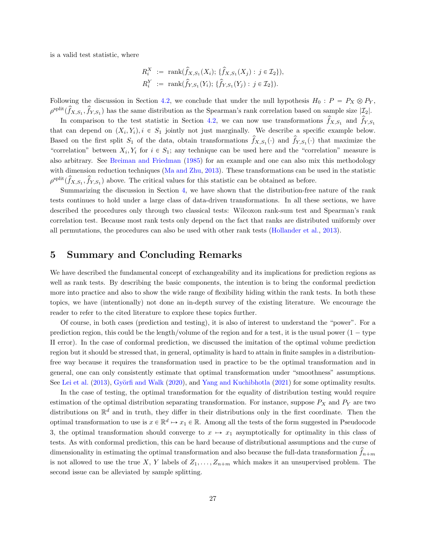is a valid test statistic, where

$$
R_i^X := \text{rank}(\hat{f}_{X,S_1}(X_i); \{\hat{f}_{X,S_1}(X_j) : j \in \mathcal{I}_2\}),
$$
  

$$
R_i^Y := \text{rank}(\hat{f}_{Y,S_1}(Y_i); \{\hat{f}_{Y,S_1}(Y_j) : j \in \mathcal{I}_2\}).
$$

Following the discussion in Section [4.2,](#page-23-1) we conclude that under the null hypothesis  $H_0 : P = P_X \otimes P_Y$ ,  $\rho^{\text{split}}(\hat{f}_{X,S_1}, \hat{f}_{Y,S_1})$  has the same distribution as the Spearman's rank correlation based on sample size  $|\mathcal{I}_2|$ .

In comparison to the test statistic in Section [4.2,](#page-23-1) we can now use transformations  $\hat{f}_{X,S_1}$  and  $\hat{f}_{Y,S_1}$ that can depend on  $(X_i, Y_i), i \in S_1$  jointly not just marginally. We describe a specific example below. Based on the first split  $S_1$  of the data, obtain transformations  $\hat{f}_{X,S_1}(\cdot)$  and  $\hat{f}_{Y,S_1}(\cdot)$  that maximize the "correlation" between  $X_i, Y_i$  for  $i \in S_1$ ; any technique can be used here and the "correlation" measure is also arbitrary. See [Breiman and Friedman](#page-28-16) [\(1985\)](#page-28-16) for an example and one can also mix this methodology with dimension reduction techniques [\(Ma and Zhu,](#page-30-16) [2013\)](#page-30-16). These transformations can be used in the statistic  $\rho^{\text{split}}(\hat{f}_{X,S_1}, \hat{f}_{Y,S_1})$  above. The critical values for this statistic can be obtained as before.

Summarizing the discussion in Section [4,](#page-20-0) we have shown that the distribution-free nature of the rank tests continues to hold under a large class of data-driven transformations. In all these sections, we have described the procedures only through two classical tests: Wilcoxon rank-sum test and Spearman's rank correlation test. Because most rank tests only depend on the fact that ranks are distributed uniformly over all permutations, the procedures can also be used with other rank tests [\(Hollander et al.,](#page-30-14) [2013\)](#page-30-14).

## <span id="page-26-0"></span>5 Summary and Concluding Remarks

We have described the fundamental concept of exchangeability and its implications for prediction regions as well as rank tests. By describing the basic components, the intention is to bring the conformal prediction more into practice and also to show the wide range of flexibility hiding within the rank tests. In both these topics, we have (intentionally) not done an in-depth survey of the existing literature. We encourage the reader to refer to the cited literature to explore these topics further.

Of course, in both cases (prediction and testing), it is also of interest to understand the "power". For a prediction region, this could be the length/volume of the region and for a test, it is the usual power  $(1 - type$ II error). In the case of conformal prediction, we discussed the imitation of the optimal volume prediction region but it should be stressed that, in general, optimality is hard to attain in finite samples in a distributionfree way because it requires the transformation used in practice to be the optimal transformation and in general, one can only consistently estimate that optimal transformation under "smoothness" assumptions. See [Lei et al.](#page-30-1) [\(2013\)](#page-30-1), Györfi and Walk [\(2020\)](#page-29-15), and [Yang and Kuchibhotla](#page-32-10) [\(2021\)](#page-32-10) for some optimality results.

In the case of testing, the optimal transformation for the equality of distribution testing would require estimation of the optimal distribution separating transformation. For instance, suppose  $P_X$  and  $P_Y$  are two distributions on  $\mathbb{R}^d$  and in truth, they differ in their distributions only in the first coordinate. Then the optimal transformation to use is  $x \in \mathbb{R}^d \mapsto x_1 \in \mathbb{R}$ . Among all the tests of the form suggested in Pseudocode 3, the optimal transformation should converge to  $x \mapsto x_1$  asymptotically for optimality in this class of tests. As with conformal prediction, this can be hard because of distributional assumptions and the curse of dimensionality in estimating the optimal transformation and also because the full-data transformation  $f_{n+m}$ is not allowed to use the true X, Y labels of  $Z_1, \ldots, Z_{n+m}$  which makes it an unsupervised problem. The second issue can be alleviated by sample splitting.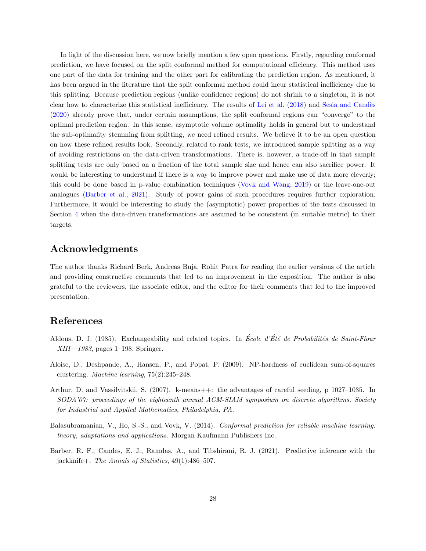In light of the discussion here, we now briefly mention a few open questions. Firstly, regarding conformal prediction, we have focused on the split conformal method for computational efficiency. This method uses one part of the data for training and the other part for calibrating the prediction region. As mentioned, it has been argued in the literature that the split conformal method could incur statistical inefficiency due to this splitting. Because prediction regions (unlike confidence regions) do not shrink to a singleton, it is not clear how to characterize this statistical inefficiency. The results of [Lei et al.](#page-30-3) [\(2018\)](#page-30-3) and Sesia and Candès [\(2020\)](#page-31-11) already prove that, under certain assumptions, the split conformal regions can "converge" to the optimal prediction region. In this sense, asymptotic volume optimality holds in general but to understand the sub-optimality stemming from splitting, we need refined results. We believe it to be an open question on how these refined results look. Secondly, related to rank tests, we introduced sample splitting as a way of avoiding restrictions on the data-driven transformations. There is, however, a trade-off in that sample splitting tests are only based on a fraction of the total sample size and hence can also sacrifice power. It would be interesting to understand if there is a way to improve power and make use of data more cleverly; this could be done based in p-value combination techniques [\(Vovk and Wang,](#page-32-6) [2019\)](#page-32-6) or the leave-one-out analogues [\(Barber et al.,](#page-27-0) [2021\)](#page-27-0). Study of power gains of such procedures requires further exploration. Furthermore, it would be interesting to study the (asymptotic) power properties of the tests discussed in Section [4](#page-20-0) when the data-driven transformations are assumed to be consistent (in suitable metric) to their targets.

# Acknowledgments

The author thanks Richard Berk, Andreas Buja, Rohit Patra for reading the earlier versions of the article and providing constructive comments that led to an improvement in the exposition. The author is also grateful to the reviewers, the associate editor, and the editor for their comments that led to the improved presentation.

# References

- <span id="page-27-2"></span>Aldous, D. J. (1985). Exchangeability and related topics. In École d'Été de Probabilités de Saint-Flour  $XIII-1983$ , pages 1–198. Springer.
- <span id="page-27-4"></span>Aloise, D., Deshpande, A., Hansen, P., and Popat, P. (2009). NP-hardness of euclidean sum-of-squares clustering. Machine learning, 75(2):245–248.
- <span id="page-27-3"></span>Arthur, D. and Vassilvitskii, S. (2007). k-means++: the advantages of careful seeding, p 1027–1035. In SODA'07: proceedings of the eighteenth annual ACM-SIAM symposium on discrete algorithms. Society for Industrial and Applied Mathematics, Philadelphia, PA.
- <span id="page-27-1"></span>Balasubramanian, V., Ho, S.-S., and Vovk, V. (2014). Conformal prediction for reliable machine learning: theory, adaptations and applications. Morgan Kaufmann Publishers Inc.
- <span id="page-27-0"></span>Barber, R. F., Candes, E. J., Ramdas, A., and Tibshirani, R. J. (2021). Predictive inference with the jackknife+. The Annals of Statistics, 49(1):486–507.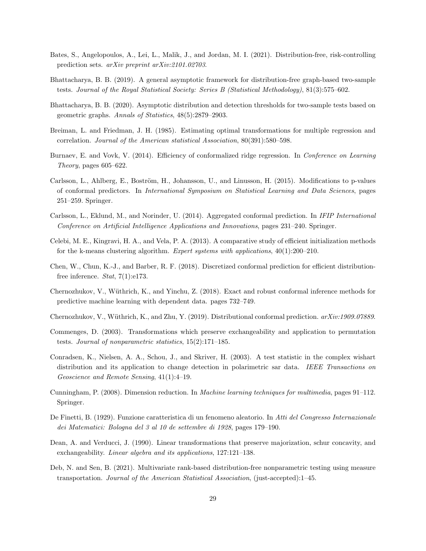- <span id="page-28-6"></span>Bates, S., Angelopoulos, A., Lei, L., Malik, J., and Jordan, M. I. (2021). Distribution-free, risk-controlling prediction sets. arXiv preprint arXiv:2101.02703.
- <span id="page-28-14"></span>Bhattacharya, B. B. (2019). A general asymptotic framework for distribution-free graph-based two-sample tests. Journal of the Royal Statistical Society: Series B (Statistical Methodology), 81(3):575–602.
- <span id="page-28-13"></span>Bhattacharya, B. B. (2020). Asymptotic distribution and detection thresholds for two-sample tests based on geometric graphs. Annals of Statistics, 48(5):2879–2903.
- <span id="page-28-16"></span>Breiman, L. and Friedman, J. H. (1985). Estimating optimal transformations for multiple regression and correlation. Journal of the American statistical Association, 80(391):580–598.
- <span id="page-28-7"></span>Burnaev, E. and Vovk, V. (2014). Efficiency of conformalized ridge regression. In Conference on Learning Theory, pages 605–622.
- <span id="page-28-11"></span>Carlsson, L., Ahlberg, E., Boström, H., Johansson, U., and Linusson, H. (2015). Modifications to p-values of conformal predictors. In International Symposium on Statistical Learning and Data Sciences, pages 251–259. Springer.
- <span id="page-28-10"></span>Carlsson, L., Eklund, M., and Norinder, U. (2014). Aggregated conformal prediction. In IFIP International Conference on Artificial Intelligence Applications and Innovations, pages 231–240. Springer.
- <span id="page-28-15"></span>Celebi, M. E., Kingravi, H. A., and Vela, P. A. (2013). A comparative study of efficient initialization methods for the k-means clustering algorithm. Expert systems with applications,  $40(1):200-210$ .
- <span id="page-28-8"></span>Chen, W., Chun, K.-J., and Barber, R. F. (2018). Discretized conformal prediction for efficient distributionfree inference. *Stat*,  $7(1):e173$ .
- <span id="page-28-0"></span>Chernozhukov, V., Wüthrich, K., and Yinchu, Z. (2018). Exact and robust conformal inference methods for predictive machine learning with dependent data. pages 732–749.
- <span id="page-28-1"></span>Chernozhukov, V., Wüthrich, K., and Zhu, Y. (2019). Distributional conformal prediction.  $arXiv:1909.07889$ .
- <span id="page-28-5"></span>Commenges, D. (2003). Transformations which preserve exchangeability and application to permutation tests. Journal of nonparametric statistics, 15(2):171–185.
- <span id="page-28-12"></span>Conradsen, K., Nielsen, A. A., Schou, J., and Skriver, H. (2003). A test statistic in the complex wishart distribution and its application to change detection in polarimetric sar data. IEEE Transactions on Geoscience and Remote Sensing, 41(1):4–19.
- <span id="page-28-9"></span>Cunningham, P. (2008). Dimension reduction. In Machine learning techniques for multimedia, pages 91–112. Springer.
- <span id="page-28-2"></span>De Finetti, B. (1929). Funzione caratteristica di un fenomeno aleatorio. In Atti del Congresso Internazionale dei Matematici: Bologna del 3 al 10 de settembre di 1928, pages 179–190.
- <span id="page-28-4"></span>Dean, A. and Verducci, J. (1990). Linear transformations that preserve majorization, schur concavity, and exchangeability. Linear algebra and its applications, 127:121–138.
- <span id="page-28-3"></span>Deb, N. and Sen, B. (2021). Multivariate rank-based distribution-free nonparametric testing using measure transportation. Journal of the American Statistical Association, (just-accepted):1–45.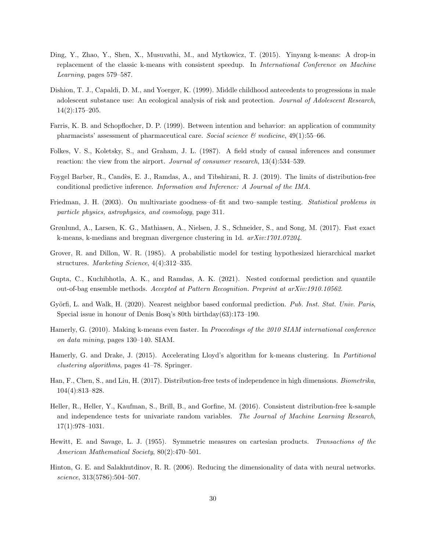- <span id="page-29-11"></span>Ding, Y., Zhao, Y., Shen, X., Musuvathi, M., and Mytkowicz, T. (2015). Yinyang k-means: A drop-in replacement of the classic k-means with consistent speedup. In International Conference on Machine Learning, pages 579–587.
- <span id="page-29-8"></span>Dishion, T. J., Capaldi, D. M., and Yoerger, K. (1999). Middle childhood antecedents to progressions in male adolescent substance use: An ecological analysis of risk and protection. Journal of Adolescent Research, 14(2):175–205.
- <span id="page-29-5"></span>Farris, K. B. and Schopflocher, D. P. (1999). Between intention and behavior: an application of community pharmacists' assessment of pharmaceutical care. Social science  $\mathcal{B}$  medicine, 49(1):55–66.
- <span id="page-29-6"></span>Folkes, V. S., Koletsky, S., and Graham, J. L. (1987). A field study of causal inferences and consumer reaction: the view from the airport. Journal of consumer research, 13(4):534–539.
- <span id="page-29-1"></span>Foygel Barber, R., Candès, E. J., Ramdas, A., and Tibshirani, R. J. (2019). The limits of distribution-free conditional predictive inference. Information and Inference: A Journal of the IMA.
- <span id="page-29-0"></span>Friedman, J. H. (2003). On multivariate goodness–of–fit and two–sample testing. Statistical problems in particle physics, astrophysics, and cosmology, page 311.
- <span id="page-29-13"></span>Grønlund, A., Larsen, K. G., Mathiasen, A., Nielsen, J. S., Schneider, S., and Song, M. (2017). Fast exact k-means, k-medians and bregman divergence clustering in 1d. arXiv:1701.07204.
- <span id="page-29-7"></span>Grover, R. and Dillon, W. R. (1985). A probabilistic model for testing hypothesized hierarchical market structures. Marketing Science, 4(4):312–335.
- <span id="page-29-2"></span>Gupta, C., Kuchibhotla, A. K., and Ramdas, A. K. (2021). Nested conformal prediction and quantile out-of-bag ensemble methods. Accepted at Pattern Recognition. Preprint at arXiv:1910.10562.
- <span id="page-29-15"></span>Györfi, L. and Walk, H. (2020). Nearest neighbor based conformal prediction. Pub. Inst. Stat. Univ. Paris, Special issue in honour of Denis Bosq's 80th birthday(63):173–190.
- <span id="page-29-10"></span>Hamerly, G. (2010). Making k-means even faster. In Proceedings of the 2010 SIAM international conference on data mining, pages 130–140. SIAM.
- <span id="page-29-12"></span>Hamerly, G. and Drake, J. (2015). Accelerating Lloyd's algorithm for k-means clustering. In Partitional clustering algorithms, pages 41–78. Springer.
- <span id="page-29-14"></span>Han, F., Chen, S., and Liu, H. (2017). Distribution-free tests of independence in high dimensions. Biometrika, 104(4):813–828.
- <span id="page-29-9"></span>Heller, R., Heller, Y., Kaufman, S., Brill, B., and Gorfine, M. (2016). Consistent distribution-free k-sample and independence tests for univariate random variables. The Journal of Machine Learning Research, 17(1):978–1031.
- <span id="page-29-3"></span>Hewitt, E. and Savage, L. J. (1955). Symmetric measures on cartesian products. Transactions of the American Mathematical Society, 80(2):470–501.
- <span id="page-29-4"></span>Hinton, G. E. and Salakhutdinov, R. R. (2006). Reducing the dimensionality of data with neural networks. science, 313(5786):504–507.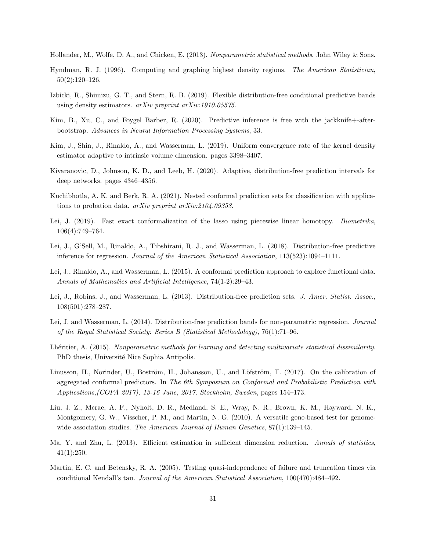<span id="page-30-14"></span>Hollander, M., Wolfe, D. A., and Chicken, E. (2013). Nonparametric statistical methods. John Wiley & Sons.

- <span id="page-30-6"></span>Hyndman, R. J. (1996). Computing and graphing highest density regions. The American Statistician, 50(2):120–126.
- <span id="page-30-8"></span>Izbicki, R., Shimizu, G. T., and Stern, R. B. (2019). Flexible distribution-free conditional predictive bands using density estimators. arXiv preprint arXiv:1910.05575.
- <span id="page-30-11"></span>Kim, B., Xu, C., and Foygel Barber, R. (2020). Predictive inference is free with the jackknife+-afterbootstrap. Advances in Neural Information Processing Systems, 33.
- <span id="page-30-15"></span>Kim, J., Shin, J., Rinaldo, A., and Wasserman, L. (2019). Uniform convergence rate of the kernel density estimator adaptive to intrinsic volume dimension. pages 3398–3407.
- <span id="page-30-7"></span>Kivaranovic, D., Johnson, K. D., and Leeb, H. (2020). Adaptive, distribution-free prediction intervals for deep networks. pages 4346–4356.
- <span id="page-30-9"></span>Kuchibhotla, A. K. and Berk, R. A. (2021). Nested conformal prediction sets for classification with applications to probation data. arXiv preprint arXiv:2104.09358.
- <span id="page-30-5"></span>Lei, J. (2019). Fast exact conformalization of the lasso using piecewise linear homotopy. *Biometrika*, 106(4):749–764.
- <span id="page-30-3"></span>Lei, J., G'Sell, M., Rinaldo, A., Tibshirani, R. J., and Wasserman, L. (2018). Distribution-free predictive inference for regression. *Journal of the American Statistical Association*, 113(523):1094–1111.
- <span id="page-30-4"></span>Lei, J., Rinaldo, A., and Wasserman, L. (2015). A conformal prediction approach to explore functional data. Annals of Mathematics and Artificial Intelligence, 74(1-2):29–43.
- <span id="page-30-1"></span>Lei, J., Robins, J., and Wasserman, L. (2013). Distribution-free prediction sets. J. Amer. Statist. Assoc., 108(501):278–287.
- <span id="page-30-2"></span>Lei, J. and Wasserman, L. (2014). Distribution-free prediction bands for non-parametric regression. Journal of the Royal Statistical Society: Series B (Statistical Methodology), 76(1):71–96.
- <span id="page-30-0"></span>Lhéritier, A. (2015). Nonparametric methods for learning and detecting multivariate statistical dissimilarity. PhD thesis, Université Nice Sophia Antipolis.
- <span id="page-30-10"></span>Linusson, H., Norinder, U., Boström, H., Johansson, U., and Löfström, T. (2017). On the calibration of aggregated conformal predictors. In The 6th Symposium on Conformal and Probabilistic Prediction with Applications,(COPA 2017), 13-16 June, 2017, Stockholm, Sweden, pages 154–173.
- <span id="page-30-12"></span>Liu, J. Z., Mcrae, A. F., Nyholt, D. R., Medland, S. E., Wray, N. R., Brown, K. M., Hayward, N. K., Montgomery, G. W., Visscher, P. M., and Martin, N. G. (2010). A versatile gene-based test for genomewide association studies. The American Journal of Human Genetics,  $87(1):139-145$ .
- <span id="page-30-16"></span>Ma, Y. and Zhu, L. (2013). Efficient estimation in sufficient dimension reduction. Annals of statistics, 41(1):250.
- <span id="page-30-13"></span>Martin, E. C. and Betensky, R. A. (2005). Testing quasi-independence of failure and truncation times via conditional Kendall's tau. Journal of the American Statistical Association, 100(470):484–492.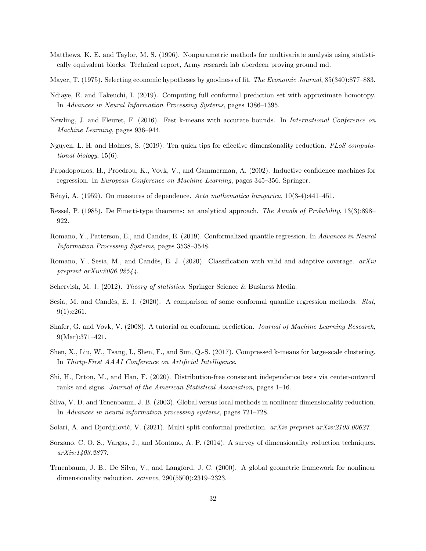- <span id="page-31-0"></span>Matthews, K. E. and Taylor, M. S. (1996). Nonparametric methods for multivariate analysis using statistically equivalent blocks. Technical report, Army research lab aberdeen proving ground md.
- <span id="page-31-14"></span>Mayer, T. (1975). Selecting economic hypotheses by goodness of fit. The Economic Journal, 85(340):877–883.
- <span id="page-31-5"></span>Ndiaye, E. and Takeuchi, I. (2019). Computing full conformal prediction set with approximate homotopy. In Advances in Neural Information Processing Systems, pages 1386–1395.
- <span id="page-31-16"></span>Newling, J. and Fleuret, F. (2016). Fast k-means with accurate bounds. In International Conference on Machine Learning, pages 936–944.
- <span id="page-31-8"></span>Nguyen, L. H. and Holmes, S. (2019). Ten quick tips for effective dimensionality reduction. PLoS computational biology, 15(6).
- <span id="page-31-6"></span>Papadopoulos, H., Proedrou, K., Vovk, V., and Gammerman, A. (2002). Inductive confidence machines for regression. In European Conference on Machine Learning, pages 345–356. Springer.
- <span id="page-31-18"></span>R´enyi, A. (1959). On measures of dependence. Acta mathematica hungarica, 10(3-4):441–451.
- <span id="page-31-3"></span>Ressel, P. (1985). De Finetti-type theorems: an analytical approach. The Annals of Probability, 13(3):898– 922.
- <span id="page-31-1"></span>Romano, Y., Patterson, E., and Candes, E. (2019). Conformalized quantile regression. In Advances in Neural Information Processing Systems, pages 3538–3548.
- <span id="page-31-12"></span>Romano, Y., Sesia, M., and Candès, E. J. (2020). Classification with valid and adaptive coverage.  $arXiv$ preprint arXiv:2006.02544.
- <span id="page-31-2"></span>Schervish, M. J. (2012). Theory of statistics. Springer Science & Business Media.
- <span id="page-31-11"></span>Sesia, M. and Candès, E. J. (2020). A comparison of some conformal quantile regression methods. Stat, 9(1):e261.
- <span id="page-31-4"></span>Shafer, G. and Vovk, V. (2008). A tutorial on conformal prediction. Journal of Machine Learning Research, 9(Mar):371–421.
- <span id="page-31-15"></span>Shen, X., Liu, W., Tsang, I., Shen, F., and Sun, Q.-S. (2017). Compressed k-means for large-scale clustering. In Thirty-First AAAI Conference on Artificial Intelligence.
- <span id="page-31-17"></span>Shi, H., Drton, M., and Han, F. (2020). Distribution-free consistent independence tests via center-outward ranks and signs. Journal of the American Statistical Association, pages 1–16.
- <span id="page-31-10"></span>Silva, V. D. and Tenenbaum, J. B. (2003). Global versus local methods in nonlinear dimensionality reduction. In Advances in neural information processing systems, pages 721–728.
- <span id="page-31-13"></span>Solari, A. and Djordjilović, V. (2021). Multi split conformal prediction. arXiv preprint arXiv:2103.00627.
- <span id="page-31-7"></span>Sorzano, C. O. S., Vargas, J., and Montano, A. P. (2014). A survey of dimensionality reduction techniques. arXiv:1403.2877.
- <span id="page-31-9"></span>Tenenbaum, J. B., De Silva, V., and Langford, J. C. (2000). A global geometric framework for nonlinear dimensionality reduction. science, 290(5500):2319-2323.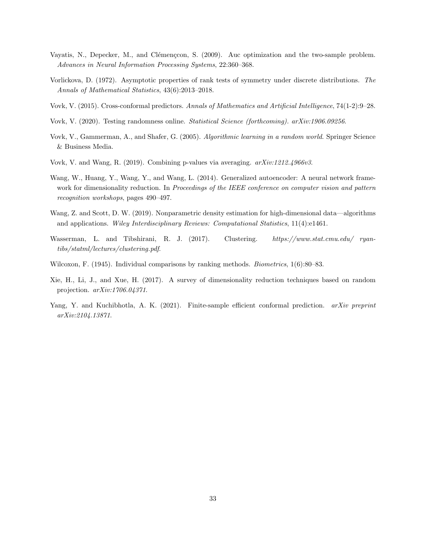- <span id="page-32-0"></span>Vayatis, N., Depecker, M., and Clémenccon, S. (2009). Auc optimization and the two-sample problem. Advances in Neural Information Processing Systems, 22:360–368.
- <span id="page-32-2"></span>Vorlickova, D. (1972). Asymptotic properties of rank tests of symmetry under discrete distributions. The Annals of Mathematical Statistics, 43(6):2013–2018.
- <span id="page-32-5"></span>Vovk, V. (2015). Cross-conformal predictors. Annals of Mathematics and Artificial Intelligence, 74(1-2):9–28.
- <span id="page-32-11"></span>Vovk, V. (2020). Testing randomness online. Statistical Science (forthcoming). arXiv:1906.09256.
- <span id="page-32-1"></span>Vovk, V., Gammerman, A., and Shafer, G. (2005). Algorithmic learning in a random world. Springer Science & Business Media.
- <span id="page-32-6"></span>Vovk, V. and Wang, R. (2019). Combining p-values via averaging. arXiv:1212.4966v3.
- <span id="page-32-4"></span>Wang, W., Huang, Y., Wang, Y., and Wang, L. (2014). Generalized autoencoder: A neural network framework for dimensionality reduction. In Proceedings of the IEEE conference on computer vision and pattern recognition workshops, pages 490–497.
- <span id="page-32-9"></span>Wang, Z. and Scott, D. W. (2019). Nonparametric density estimation for high-dimensional data—algorithms and applications. Wiley Interdisciplinary Reviews: Computational Statistics, 11(4):e1461.
- <span id="page-32-8"></span>Wasserman, L. and Tibshirani, R. J. (2017). Clustering. https://www.stat.cmu.edu/ ryantibs/statml/lectures/clustering.pdf.
- <span id="page-32-7"></span>Wilcoxon, F. (1945). Individual comparisons by ranking methods. *Biometrics*, 1(6):80–83.
- <span id="page-32-3"></span>Xie, H., Li, J., and Xue, H. (2017). A survey of dimensionality reduction techniques based on random projection. arXiv:1706.04371.
- <span id="page-32-10"></span>Yang, Y. and Kuchibhotla, A. K. (2021). Finite-sample efficient conformal prediction. arXiv preprint arXiv:2104.13871.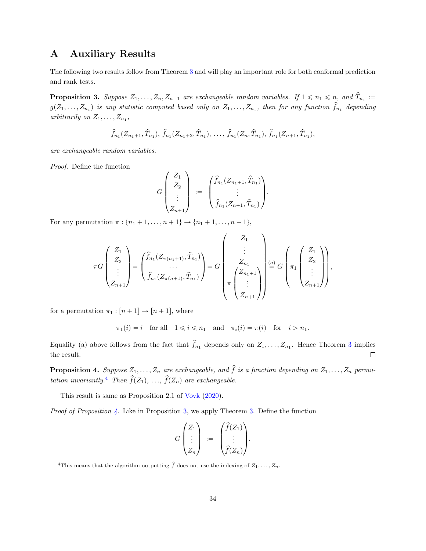# <span id="page-33-1"></span>A Auxiliary Results

The following two results follow from Theorem [3](#page-6-1) and will play an important role for both conformal prediction and rank tests.

<span id="page-33-2"></span>**Proposition 3.** Suppose  $Z_1, \ldots, Z_n, Z_{n+1}$  are exchangeable random variables. If  $1 \leq n_1 \leq n$ , and  $\hat{T}_{n_1}$ :  $g(Z_1,\ldots,Z_{n_1})$  is any statistic computed based only on  $Z_1,\ldots,Z_{n_1}$ , then for any function  $\hat{f}_{n_1}$  depending arbitrarily on  $Z_1, \ldots, Z_{n_1}$ ,

$$
\hat{f}_{n_1}(Z_{n_1+1}, \hat{T}_{n_1}), \hat{f}_{n_1}(Z_{n_1+2}, \hat{T}_{n_1}), \ldots, \hat{f}_{n_1}(Z_n, \hat{T}_{n_1}), \hat{f}_{n_1}(Z_{n+1}, \hat{T}_{n_1}),
$$

are exchangeable random variables.

Proof. Define the function

$$
G\begin{pmatrix} Z_1 \\ Z_2 \\ \vdots \\ Z_{n+1} \end{pmatrix} := \begin{pmatrix} \hat{f}_{n_1}(Z_{n_1+1}, \hat{T}_{n_1}) \\ \vdots \\ \hat{f}_{n_1}(Z_{n+1}, \hat{T}_{n_1}) \end{pmatrix}.
$$

For any permutation  $\pi : \{n_1 + 1, \ldots, n + 1\} \to \{n_1 + 1, \ldots, n + 1\},\$ 

$$
\pi G \begin{pmatrix} Z_1 \\ Z_2 \\ \vdots \\ Z_{n+1} \end{pmatrix} = \begin{pmatrix} \hat{f}_{n_1}(Z_{\pi(n_1+1)}, \hat{T}_{n_1}) \\ \cdots \\ \hat{f}_{n_1}(Z_{\pi(n+1)}, \hat{T}_{n_1}) \end{pmatrix} = G \begin{pmatrix} Z_1 \\ \vdots \\ Z_{n_1} \\ \pi \begin{pmatrix} Z_{n_1+1} \\ \vdots \\ Z_{n+1} \end{pmatrix} \end{pmatrix} \stackrel{(a)}{=} G \begin{pmatrix} Z_1 \\ \pi_1 \begin{pmatrix} Z_1 \\ Z_2 \\ \vdots \\ Z_{n+1} \end{pmatrix} \end{pmatrix},
$$

for a permutation  $\pi_1 : [n + 1] \rightarrow [n + 1]$ , where

 $\pi_1(i) = i$  for all  $1 \leq i \leq n_1$  and  $\pi_i(i) = \pi(i)$  for  $i > n_1$ .

Equality (a) above follows from the fact that  $\hat{f}_{n_1}$  depends only on  $Z_1, \ldots, Z_{n_1}$ . Hence Theorem [3](#page-6-1) implies the result.  $\Box$ 

<span id="page-33-0"></span>**Proposition 4.** Suppose  $Z_1, \ldots, Z_n$  are exchangeable, and  $\hat{f}$  is a function depending on  $Z_1, \ldots, Z_n$  permu-tation invariantly.<sup>[4](#page-33-3)</sup> Then  $\hat{f}(Z_1), \ldots, \hat{f}(Z_n)$  are exchangeable.

This result is same as Proposition 2.1 of [Vovk](#page-32-11) [\(2020\)](#page-32-11).

*Proof of Proposition [4.](#page-33-0)* Like in Proposition [3,](#page-33-2) we apply Theorem [3.](#page-6-1) Define the function

$$
G\begin{pmatrix}Z_1\\ \vdots\\ Z_n\end{pmatrix} := \begin{pmatrix} \widehat{f}(Z_1) \\ \vdots\\ \widehat{f}(Z_n)\end{pmatrix}.
$$

<span id="page-33-3"></span><sup>&</sup>lt;sup>4</sup>This means that the algorithm outputting  $\hat{f}$  does not use the indexing of  $Z_1, \ldots, Z_n$ .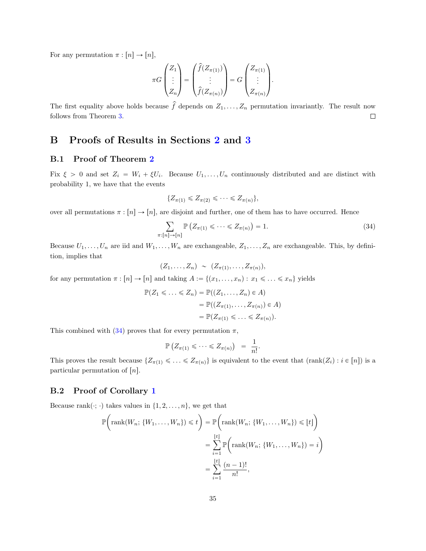For any permutation  $\pi : [n] \to [n],$ 

$$
\pi G \begin{pmatrix} Z_1 \\ \vdots \\ Z_n \end{pmatrix} = \begin{pmatrix} \hat{f}(Z_{\pi(1)}) \\ \vdots \\ \hat{f}(Z_{\pi(n)}) \end{pmatrix} = G \begin{pmatrix} Z_{\pi(1)} \\ \vdots \\ Z_{\pi(n)} \end{pmatrix}.
$$

The first equality above holds because  $\hat{f}$  depends on  $Z_1, \ldots, Z_n$  permutation invariantly. The result now follows from Theorem [3.](#page-6-1)  $\Box$ 

## <span id="page-34-0"></span>B Proofs of Results in Sections [2](#page-2-0) and [3](#page-7-0)

#### B.1 Proof of Theorem [2](#page-5-1)

Fix  $\xi > 0$  and set  $Z_i = W_i + \xi U_i$ . Because  $U_1, \ldots, U_n$  continuously distributed and are distinct with probability 1, we have that the events

<span id="page-34-1"></span>
$$
\{Z_{\pi(1)} \leqslant Z_{\pi(2)} \leqslant \cdots \leqslant Z_{\pi(n)}\},\
$$

over all permutations  $\pi : [n] \to [n]$ , are disjoint and further, one of them has to have occurred. Hence

$$
\sum_{\pi:[n]\to[n]} \mathbb{P}\left(Z_{\pi(1)}\leqslant\cdots\leqslant Z_{\pi(n)}\right)=1.
$$
\n(34)

Because  $U_1, \ldots, U_n$  are iid and  $W_1, \ldots, W_n$  are exchangeable,  $Z_1, \ldots, Z_n$  are exchangeable. This, by definition, implies that

$$
(Z_1,\ldots,Z_n) \sim (Z_{\pi(1)},\ldots,Z_{\pi(n)}),
$$

for any permutation  $\pi : [n] \to [n]$  and taking  $A := \{(x_1, \ldots, x_n) : x_1 \leq \ldots \leq x_n\}$  yields

$$
\mathbb{P}(Z_1 \leq \ldots \leq Z_n) = \mathbb{P}((Z_1, \ldots, Z_n) \in A)
$$

$$
= \mathbb{P}((Z_{\pi(1)}, \ldots, Z_{\pi(n)}) \in A)
$$

$$
= \mathbb{P}(Z_{\pi(1)} \leq \ldots \leq Z_{\pi(n)}).
$$

This combined with [\(34\)](#page-34-1) proves that for every permutation  $\pi$ ,

$$
\mathbb{P}\left(Z_{\pi(1)} \leqslant \cdots \leqslant Z_{\pi(n)}\right) = \frac{1}{n!}.
$$

This proves the result because  $\{Z_{\pi(1)} \leq \ldots \leq Z_{\pi(n)}\}$  is equivalent to the event that  $(\text{rank}(Z_i) : i \in [n])$  is a particular permutation of  $[n]$ .

## B.2 Proof of Corollary [1](#page-5-3)

Because rank $(\cdot; \cdot)$  takes values in  $\{1, 2, \ldots, n\}$ , we get that

$$
\mathbb{P}\left(\text{rank}(W_n; \{W_1, \ldots, W_n\}) \leq t\right) = \mathbb{P}\left(\text{rank}(W_n; \{W_1, \ldots, W_n\}) \leq t\right)
$$

$$
= \sum_{i=1}^{\lfloor t \rfloor} \mathbb{P}\left(\text{rank}(W_n; \{W_1, \ldots, W_n\}) = i\right)
$$

$$
= \sum_{i=1}^{\lfloor t \rfloor} \frac{(n-1)!}{n!},
$$